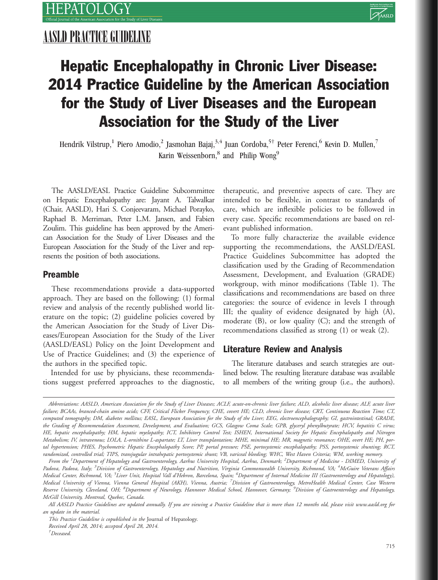# AASLD PRACTICE GUIDELINE

# Hepatic Encephalopathy in Chronic Liver Disease: 2014 Practice Guideline by the American Association for the Study of Liver Diseases and the European Association for the Study of the Liver

Hendrik Vilstrup,<sup>1</sup> Piero Amodio,<sup>2</sup> Jasmohan Bajaj,<sup>3,4</sup> Juan Cordoba,<sup>5†</sup> Peter Ferenci,<sup>6</sup> Kevin D. Mullen,<sup>7</sup> Karin Weissenborn,<sup>8</sup> and Philip Wong<sup>9</sup>

The AASLD/EASL Practice Guideline Subcommittee on Hepatic Encephalopathy are: Jayant A. Talwalkar (Chair, AASLD), Hari S. Conjeevaram, Michael Porayko, Raphael B. Merriman, Peter L.M. Jansen, and Fabien Zoulim. This guideline has been approved by the American Association for the Study of Liver Diseases and the European Association for the Study of the Liver and represents the position of both associations.

# Preamble

These recommendations provide a data-supported approach. They are based on the following: (1) formal review and analysis of the recently published world literature on the topic; (2) guideline policies covered by the American Association for the Study of Liver Diseases/European Association for the Study of the Liver (AASLD/EASL) Policy on the Joint Development and Use of Practice Guidelines; and (3) the experience of the authors in the specified topic.

Intended for use by physicians, these recommendations suggest preferred approaches to the diagnostic,

therapeutic, and preventive aspects of care. They are intended to be flexible, in contrast to standards of care, which are inflexible policies to be followed in every case. Specific recommendations are based on relevant published information.

To more fully characterize the available evidence supporting the recommendations, the AASLD/EASL Practice Guidelines Subcommittee has adopted the classification used by the Grading of Recommendation Assessment, Development, and Evaluation (GRADE) workgroup, with minor modifications (Table 1). The classifications and recommendations are based on three categories: the source of evidence in levels I through III; the quality of evidence designated by high (A), moderate (B), or low quality (C); and the strength of recommendations classified as strong (1) or weak (2).

# Literature Review and Analysis

The literature databases and search strategies are outlined below. The resulting literature database was available to all members of the writing group (i.e., the authors).

Abbreviations: AASLD, American Association for the Study of Liver Diseases; ACLF, acute-on-chronic liver failure; ALD, alcoholic liver disease; ALF, acute liver failure; BCAAs, branced-chain amino acids; CFF, Critical Flicker Frequency; CHE, covert HE; CLD, chronic liver disease; CRT, Continuous Reaction Time; CT, computed tomography; DM, diabetes mellitus; EASL, European Association for the Study of the Liver; EEG, electroencephalography; GI, gastrointestinal; GRADE, the Grading of Recommendation Assessment, Development, and Evaluation; GCS, Glasgow Coma Scale; GPB, glyceryl phenylbutyrate; HCV, hepatitis C virus; HE, hepatic encephalopathy; HM, hepatic myelopathy; ICT, Inhibitory Control Test; ISHEN, International Society for Hepatic Encephalopathy and Nitrogen Metabolism; IV, intravenous; LOLA, L-ornithine L-aspartate; LT, Liver transplantation; MHE, minimal HE; MR, magnetic resonance; OHE, overt HE; PH, portal hypertension; PHES, Psychometric Hepatic Encephalopathy Score; PP, portal pressure; PSE, portosystemic encephalopathy; PSS, portosystemic shunting; RCT, randomized, controlled trial; TIPS, transjugular intrahepatic portosystemic shunt; VB, variceal bleeding; WHC, West Haven Criteria; WM, working memory.

From the <sup>1</sup>Department of Hepatology and Gastroenterology, Aarhus University Hospital, Aarhus, Denmark; <sup>2</sup>Department of Medicine - DIMED, University of Padova, Padova, Italy; <sup>3</sup>Division of Gastroenterology, Hepatology and Nutrition, Virginia Commonwealth University, Richmond, VA; <sup>4</sup>McGuire Veterans Affairs Medical Center, Richmond, VA; <sup>5</sup>Liver Unit, Hospital Vall d'Hebron, Barcelona, Spain; <sup>6</sup>Department of Internal Medicine III (Gastroenterology and Hepatology), Medical University of Vienna, Vienna General Hospital (AKH), Vienna, Austria; <sup>7</sup>Division of Gastroenterology, MetroHealth Medical Center, Case Western Reserve University, Cleveland, OH; <sup>8</sup>Department of Neurology, Hannover Medical School, Hannover, Germany; <sup>9</sup>Division of Gastroenterology and Hepatology, McGill University, Montreal, Quebec, Canada.

All AASLD Practice Guidelines are updated annually. If you are viewing a Practice Guideline that is more than 12 months old, please visit [www.aasld.org](http://www.aasld.org) for an update in the material.

This Practice Guideline is copublished in the Journal of Hepatology. Received April 28, 2014; accepted April 28, 2014.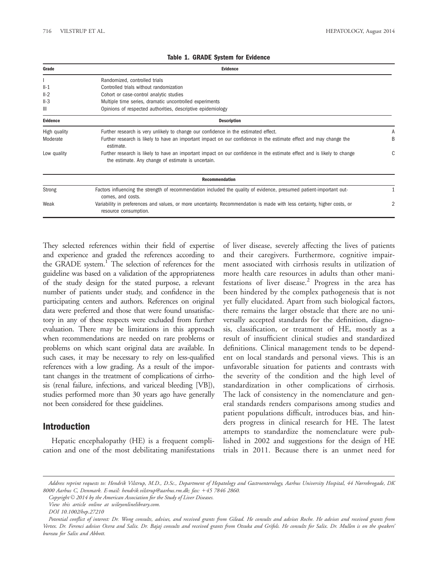| Grade           | <b>Evidence</b>                                                                                                                                                               |   |
|-----------------|-------------------------------------------------------------------------------------------------------------------------------------------------------------------------------|---|
|                 | Randomized, controlled trials                                                                                                                                                 |   |
| $II-1$          | Controlled trials without randomization                                                                                                                                       |   |
| $II-2$          | Cohort or case-control analytic studies                                                                                                                                       |   |
| $II-3$          | Multiple time series, dramatic uncontrolled experiments                                                                                                                       |   |
| Ш               | Opinions of respected authorities, descriptive epidemiology                                                                                                                   |   |
| <b>Evidence</b> | <b>Description</b>                                                                                                                                                            |   |
| High quality    | Further research is very unlikely to change our confidence in the estimated effect.                                                                                           | А |
| Moderate        | Further research is likely to have an important impact on our confidence in the estimate effect and may change the<br>estimate.                                               |   |
| Low quality     | Further research is likely to have an important impact on our confidence in the estimate effect and is likely to change<br>the estimate. Any change of estimate is uncertain. | С |
|                 | <b>Recommendation</b>                                                                                                                                                         |   |
| Strong          | Factors influencing the strength of recommendation included the quality of evidence, presumed patient-important out-<br>comes, and costs.                                     |   |
| Weak            | Variability in preferences and values, or more uncertainty. Recommendation is made with less certainty, higher costs, or<br>resource consumption.                             | 2 |

|  |  |  |  |  | Table 1. GRADE System for Evidence |
|--|--|--|--|--|------------------------------------|
|--|--|--|--|--|------------------------------------|

They selected references within their field of expertise and experience and graded the references according to the GRADE system.<sup>1</sup> The selection of references for the guideline was based on a validation of the appropriateness of the study design for the stated purpose, a relevant number of patients under study, and confidence in the participating centers and authors. References on original data were preferred and those that were found unsatisfactory in any of these respects were excluded from further evaluation. There may be limitations in this approach when recommendations are needed on rare problems or problems on which scant original data are available. In such cases, it may be necessary to rely on less-qualified references with a low grading. As a result of the important changes in the treatment of complications of cirrhosis (renal failure, infections, and variceal bleeding [VB]), studies performed more than 30 years ago have generally not been considered for these guidelines.

# Introduction

Hepatic encephalopathy (HE) is a frequent complication and one of the most debilitating manifestations of liver disease, severely affecting the lives of patients and their caregivers. Furthermore, cognitive impairment associated with cirrhosis results in utilization of more health care resources in adults than other manifestations of liver disease.<sup>2</sup> Progress in the area has been hindered by the complex pathogenesis that is not yet fully elucidated. Apart from such biological factors, there remains the larger obstacle that there are no universally accepted standards for the definition, diagnosis, classification, or treatment of HE, mostly as a result of insufficient clinical studies and standardized definitions. Clinical management tends to be dependent on local standards and personal views. This is an unfavorable situation for patients and contrasts with the severity of the condition and the high level of standardization in other complications of cirrhosis. The lack of consistency in the nomenclature and general standards renders comparisons among studies and patient populations difficult, introduces bias, and hinders progress in clinical research for HE. The latest attempts to standardize the nomenclature were published in 2002 and suggestions for the design of HE trials in 2011. Because there is an unmet need for

Copyright  $\odot$  2014 by the American Association for the Study of Liver Diseases.

View this article online at wileyonlinelibrary.com.

Address reprint requests to: Hendrik Vilstrup, M.D., D.Sc., Department of Hepatology and Gastroenterology, Aarhus University Hospital, 44 Nørrebrogade, DK 8000 Aarhus C, Denmark. E-mail: hendrik.vilstrup@aarhus.rm.dk; fax: 145 7846 2860.

DOI 10.1002/hep.27210

Potential conflict of interest: Dr. Wong consults, advises, and received grants from Gilead. He consults and advises Roche. He advises and received grants from Vertex. Dr. Ferenci advises Ocera and Salix. Dr. Bajaj consults and received grants from Otsuka and Grifols. He consults for Salix. Dr. Mullen is on the speakers' bureau for Salix and Abbott.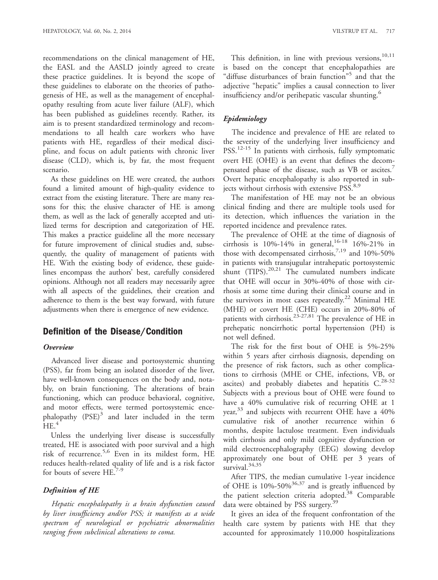recommendations on the clinical management of HE, the EASL and the AASLD jointly agreed to create these practice guidelines. It is beyond the scope of these guidelines to elaborate on the theories of pathogenesis of HE, as well as the management of encephalopathy resulting from acute liver failure (ALF), which has been published as guidelines recently. Rather, its aim is to present standardized terminology and recommendations to all health care workers who have patients with HE, regardless of their medical discipline, and focus on adult patients with chronic liver disease (CLD), which is, by far, the most frequent scenario.

As these guidelines on HE were created, the authors found a limited amount of high-quality evidence to extract from the existing literature. There are many reasons for this; the elusive character of HE is among them, as well as the lack of generally accepted and utilized terms for description and categorization of HE. This makes a practice guideline all the more necessary for future improvement of clinical studies and, subsequently, the quality of management of patients with HE. With the existing body of evidence, these guidelines encompass the authors' best, carefully considered opinions. Although not all readers may necessarily agree with all aspects of the guidelines, their creation and adherence to them is the best way forward, with future adjustments when there is emergence of new evidence.

# Definition of the Disease/Condition

#### **Overview**

Advanced liver disease and portosystemic shunting (PSS), far from being an isolated disorder of the liver, have well-known consequences on the body and, notably, on brain functioning. The alterations of brain functioning, which can produce behavioral, cognitive, and motor effects, were termed portosystemic encephalopathy  $(PSE)^3$  and later included in the term  $HE.<sup>4</sup>$ 

Unless the underlying liver disease is successfully treated, HE is associated with poor survival and a high risk of recurrence.5,6 Even in its mildest form, HE reduces health-related quality of life and is a risk factor for bouts of severe HE.<sup>7-9</sup>

#### Definition of HE

Hepatic encephalopathy is a brain dysfunction caused by liver insufficiency and/or PSS; it manifests as a wide spectrum of neurological or psychiatric abnormalities ranging from subclinical alterations to coma.

This definition, in line with previous versions, $10,11$ is based on the concept that encephalopathies are "diffuse disturbances of brain function"<sup>5</sup> and that the adjective "hepatic" implies a causal connection to liver insufficiency and/or perihepatic vascular shunting.<sup>6</sup>

## Epidemiology

The incidence and prevalence of HE are related to the severity of the underlying liver insufficiency and PSS.12-15 In patients with cirrhosis, fully symptomatic overt HE (OHE) is an event that defines the decompensated phase of the disease, such as VB or ascites.<sup>7</sup> Overt hepatic encephalopathy is also reported in subjects without cirrhosis with extensive PSS.<sup>8,9</sup>

The manifestation of HE may not be an obvious clinical finding and there are multiple tools used for its detection, which influences the variation in the reported incidence and prevalence rates.

The prevalence of OHE at the time of diagnosis of cirrhosis is  $10\% - 14\%$  in general,  $16\% - 21\%$  in those with decompensated cirrhosis,<sup>7,19</sup> and 10%-50% in patients with transjugular intrahepatic portosystemic shunt (TIPS). $^{20,21}$  The cumulated numbers indicate that OHE will occur in 30%-40% of those with cirrhosis at some time during their clinical course and in the survivors in most cases repeatedly.<sup>22</sup> Minimal HE (MHE) or covert HE (CHE) occurs in 20%-80% of patients with cirrhosis.<sup>23-27,81</sup> The prevalence of HE in prehepatic noncirrhotic portal hypertension (PH) is not well defined.

The risk for the first bout of OHE is 5%-25% within 5 years after cirrhosis diagnosis, depending on the presence of risk factors, such as other complications to cirrhosis (MHE or CHE, infections, VB, or ascites) and probably diabetes and hepatitis  $C^{28-32}$ Subjects with a previous bout of OHE were found to have a 40% cumulative risk of recurring OHE at 1 year,<sup>33</sup> and subjects with recurrent OHE have a 40% cumulative risk of another recurrence within 6 months, despite lactulose treatment. Even individuals with cirrhosis and only mild cognitive dysfunction or mild electroencephalography (EEG) slowing develop approximately one bout of OHE per 3 years of survival.<sup>34,35</sup>

After TIPS, the median cumulative 1-year incidence of OHE is  $10\% - 50\% + 35\%$  and is greatly influenced by the patient selection criteria adopted.<sup>38</sup> Comparable data were obtained by PSS surgery.<sup>39</sup>

It gives an idea of the frequent confrontation of the health care system by patients with HE that they accounted for approximately 110,000 hospitalizations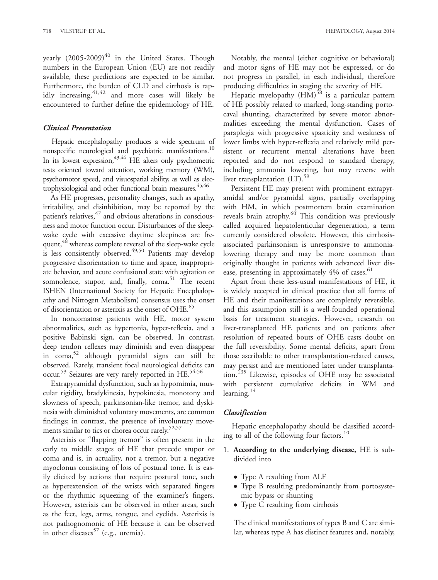yearly  $(2005-2009)^{40}$  in the United States. Though numbers in the European Union (EU) are not readily available, these predictions are expected to be similar. Furthermore, the burden of CLD and cirrhosis is rapidly increasing,  $4^{1,42}$  and more cases will likely be encountered to further define the epidemiology of HE.

## Clinical Presentation

Hepatic encephalopathy produces a wide spectrum of nonspecific neurological and psychiatric manifestations.10 In its lowest expression,  $43,44$  HE alters only psychometric tests oriented toward attention, working memory (WM), psychomotor speed, and visuospatial ability, as well as electrophysiological and other functional brain measures.<sup>45,46</sup>

As HE progresses, personality changes, such as apathy, irritability, and disinhibition, may be reported by the patient's relatives, $47$  and obvious alterations in consciousness and motor function occur. Disturbances of the sleepwake cycle with excessive daytime sleepiness are frequent,<sup>48</sup> whereas complete reversal of the sleep-wake cycle is less consistently observed.<sup>49,50</sup> Patients may develop progressive disorientation to time and space, inappropriate behavior, and acute confusional state with agitation or somnolence, stupor, and, finally,  $comna.<sup>51</sup>$  The recent ISHEN (International Society for Hepatic Encephalopathy and Nitrogen Metabolism) consensus uses the onset of disorientation or asterixis as the onset of OHE.<sup>65</sup>

In noncomatose patients with HE, motor system abnormalities, such as hypertonia, hyper-reflexia, and a positive Babinski sign, can be observed. In contrast, deep tendon reflexes may diminish and even disappear in coma,52 although pyramidal signs can still be observed. Rarely, transient focal neurological deficits can occur.<sup>53</sup> Seizures are very rarely reported in HE.<sup>54-56</sup>

Extrapyramidal dysfunction, such as hypomimia, muscular rigidity, bradykinesia, hypokinesia, monotony and slowness of speech, parkinsonian-like tremor, and dyskinesia with diminished voluntary movements, are common findings; in contrast, the presence of involuntary movements similar to tics or chorea occur rarely.<sup>52,57</sup>

Asterixis or "flapping tremor" is often present in the early to middle stages of HE that precede stupor or coma and is, in actuality, not a tremor, but a negative myoclonus consisting of loss of postural tone. It is easily elicited by actions that require postural tone, such as hyperextension of the wrists with separated fingers or the rhythmic squeezing of the examiner's fingers. However, asterixis can be observed in other areas, such as the feet, legs, arms, tongue, and eyelids. Asterixis is not pathognomonic of HE because it can be observed in other diseases<sup>57</sup> (e.g., uremia).

Notably, the mental (either cognitive or behavioral) and motor signs of HE may not be expressed, or do not progress in parallel, in each individual, therefore producing difficulties in staging the severity of HE.

Hepatic myelopathy  $(HM)^{58}$  is a particular pattern of HE possibly related to marked, long-standing portocaval shunting, characterized by severe motor abnormalities exceeding the mental dysfunction. Cases of paraplegia with progressive spasticity and weakness of lower limbs with hyper-reflexia and relatively mild persistent or recurrent mental alterations have been reported and do not respond to standard therapy, including ammonia lowering, but may reverse with liver transplantation  $(LT)$ .<sup>59</sup>

Persistent HE may present with prominent extrapyramidal and/or pyramidal signs, partially overlapping with HM, in which postmortem brain examination reveals brain atrophy.<sup>60</sup> This condition was previously called acquired hepatolenticular degeneration, a term currently considered obsolete. However, this cirrhosisassociated parkinsonism is unresponsive to ammonialowering therapy and may be more common than originally thought in patients with advanced liver disease, presenting in approximately  $4\%$  of cases.<sup>61</sup>

Apart from these less-usual manifestations of HE, it is widely accepted in clinical practice that all forms of HE and their manifestations are completely reversible, and this assumption still is a well-founded operational basis for treatment strategies. However, research on liver-transplanted HE patients and on patients after resolution of repeated bouts of OHE casts doubt on the full reversibility. Some mental deficits, apart from those ascribable to other transplantation-related causes, may persist and are mentioned later under transplantation.<sup>135</sup> Likewise, episodes of OHE may be associated with persistent cumulative deficits in WM and learning. $14$ 

#### Classification

Hepatic encephalopathy should be classified according to all of the following four factors.<sup>10</sup>

- 1. According to the underlying disease, HE is subdivided into
	- Type A resulting from ALF
	- Type B resulting predominantly from portosystemic bypass or shunting
	- Type C resulting from cirrhosis

The clinical manifestations of types B and C are similar, whereas type A has distinct features and, notably,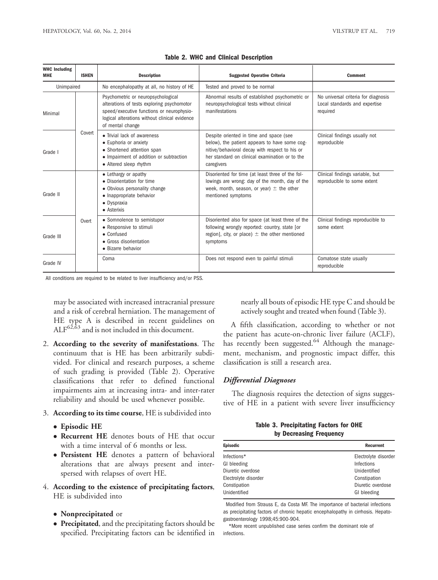| <b>WHC Including</b><br><b>ISHEN</b><br><b>MHE</b> |        | <b>Description</b>                                                                                                                                                                                 | <b>Suggested Operative Criteria</b>                                                                                                                                                                        | <b>Comment</b>                                                                   |
|----------------------------------------------------|--------|----------------------------------------------------------------------------------------------------------------------------------------------------------------------------------------------------|------------------------------------------------------------------------------------------------------------------------------------------------------------------------------------------------------------|----------------------------------------------------------------------------------|
| Unimpaired                                         |        | No encephalopathy at all, no history of HE                                                                                                                                                         | Tested and proved to be normal                                                                                                                                                                             |                                                                                  |
| Minimal                                            |        | Psychometric or neuropsychological<br>alterations of tests exploring psychomotor<br>speed/executive functions or neurophysio-<br>logical alterations without clinical evidence<br>of mental change | Abnormal results of established psychometric or<br>neuropsychological tests without clinical<br>manifestations                                                                                             | No universal criteria for diagnosis<br>Local standards and expertise<br>required |
| Grade I                                            | Covert | • Trivial lack of awareness<br>• Euphoria or anxiety<br>• Shortened attention span<br>• Impairment of addition or subtraction<br>• Altered sleep rhythm                                            | Despite oriented in time and space (see<br>below), the patient appears to have some cog-<br>nitive/behavioral decay with respect to his or<br>her standard on clinical examination or to the<br>caregivers | Clinical findings usually not<br>reproducible                                    |
| Grade II                                           |        | • Lethargy or apathy<br>• Disorientation for time<br>• Obvious personality change<br>• Inappropriate behavior<br>$\bullet$ Dyspraxia<br>• Asterixis                                                | Disoriented for time (at least three of the fol-<br>lowings are wrong: day of the month, day of the<br>week, month, season, or year) $\pm$ the other<br>mentioned symptoms                                 | Clinical findings variable, but<br>reproducible to some extent                   |
| Grade III                                          | Overt  | • Somnolence to semistupor<br>• Responsive to stimuli<br>• Confused<br>• Gross disorientation<br>• Bizarre behavior                                                                                | Disoriented also for space (at least three of the<br>following wrongly reported: country, state [or<br>region], city, or place) $\pm$ the other mentioned<br>symptoms                                      | Clinical findings reproducible to<br>some extent                                 |
| Grade IV                                           |        | Coma                                                                                                                                                                                               | Does not respond even to painful stimuli                                                                                                                                                                   | Comatose state usually<br>reproducible                                           |

|  |  |  |  |  | Table 2. WHC and Clinical Description |
|--|--|--|--|--|---------------------------------------|
|--|--|--|--|--|---------------------------------------|

All conditions are required to be related to liver insufficiency and/or PSS.

may be associated with increased intracranial pressure and a risk of cerebral herniation. The management of HE type A is described in recent guidelines on  $\mathrm{ALF}^{62,63}$  and is not included in this document.

- 2. According to the severity of manifestations. The continuum that is HE has been arbitrarily subdivided. For clinical and research purposes, a scheme of such grading is provided (Table 2). Operative classifications that refer to defined functional impairments aim at increasing intra- and inter-rater reliability and should be used whenever possible.
- 3. According to its time course, HE is subdivided into
	- Episodic HE
	- **Recurrent HE** denotes bouts of HE that occur with a time interval of 6 months or less.
	- **Persistent HE** denotes a pattern of behavioral alterations that are always present and interspersed with relapses of overt HE.
- 4. According to the existence of precipitating factors, HE is subdivided into
	- Nonprecipitated or
	- **Precipitated**, and the precipitating factors should be specified. Precipitating factors can be identified in

nearly all bouts of episodic HE type C and should be actively sought and treated when found (Table 3).

A fifth classification, according to whether or not the patient has acute-on-chronic liver failure (ACLF), has recently been suggested.<sup>64</sup> Although the management, mechanism, and prognostic impact differ, this classification is still a research area.

#### Differential Diagnoses

The diagnosis requires the detection of signs suggestive of HE in a patient with severe liver insufficiency

Table 3. Precipitating Factors for OHE by Decreasing Frequency

| Recurrent            |
|----------------------|
| Electrolyte disorder |
| Infections           |
| Unidentified         |
| Constipation         |
| Diuretic overdose    |
| GI bleeding          |
|                      |

Modified from Strauss E, da Costa MF. The importance of bacterial infections as precipitating factors of chronic hepatic encephalopathy in cirrhosis. Hepatogastroenterology 1998;45:900-904.

\*More recent unpublished case series confirm the dominant role of infections.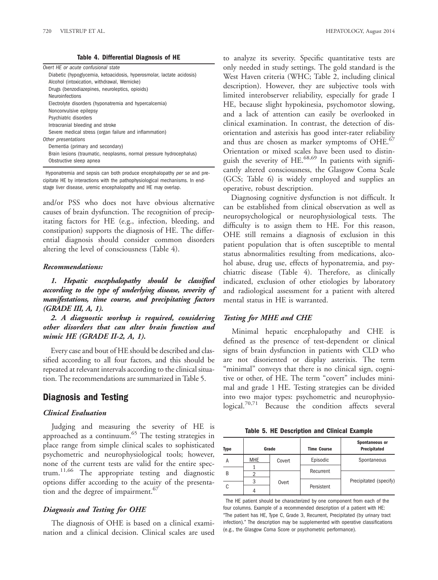#### Table 4. Differential Diagnosis of HE

Hyponatremia and sepsis can both produce encephalopathy per se and precipitate HE by interactions with the pathophysiological mechanisms. In endstage liver disease, uremic encephalopathy and HE may overlap.

and/or PSS who does not have obvious alternative causes of brain dysfunction. The recognition of precipitating factors for HE (e.g., infection, bleeding, and constipation) supports the diagnosis of HE. The differential diagnosis should consider common disorders altering the level of consciousness (Table 4).

#### Recommendations:

1. Hepatic encephalopathy should be classified according to the type of underlying disease, severity of manifestations, time course, and precipitating factors (GRADE III, A, 1).

2. A diagnostic workup is required, considering other disorders that can alter brain function and mimic HE (GRADE II-2, A, 1).

Every case and bout of HE should be described and classified according to all four factors, and this should be repeated at relevant intervals according to the clinical situation. The recommendations are summarized in Table 5.

## Diagnosis and Testing

## Clinical Evaluation

Judging and measuring the severity of HE is approached as a continuum.<sup>65</sup> The testing strategies in place range from simple clinical scales to sophisticated psychometric and neurophysiological tools; however, none of the current tests are valid for the entire spectrum.<sup>11,66</sup> The appropriate testing and diagnostic options differ according to the acuity of the presentation and the degree of impairment.<sup>67</sup>

#### Diagnosis and Testing for OHE

The diagnosis of OHE is based on a clinical examination and a clinical decision. Clinical scales are used

to analyze its severity. Specific quantitative tests are only needed in study settings. The gold standard is the West Haven criteria (WHC; Table 2, including clinical description). However, they are subjective tools with limited interobserver reliability, especially for grade I HE, because slight hypokinesia, psychomotor slowing, and a lack of attention can easily be overlooked in clinical examination. In contrast, the detection of disorientation and asterixis has good inter-rater reliability and thus are chosen as marker symptoms of OHE. $^{6/}$ Orientation or mixed scales have been used to distinguish the severity of HE. $^{68,69}$  In patients with significantly altered consciousness, the Glasgow Coma Scale (GCS; Table 6) is widely employed and supplies an operative, robust description.

Diagnosing cognitive dysfunction is not difficult. It can be established from clinical observation as well as neuropsychological or neurophysiological tests. The difficulty is to assign them to HE. For this reason, OHE still remains a diagnosis of exclusion in this patient population that is often susceptible to mental status abnormalities resulting from medications, alcohol abuse, drug use, effects of hyponatremia, and psychiatric disease (Table 4). Therefore, as clinically indicated, exclusion of other etiologies by laboratory and radiological assessment for a patient with altered mental status in HE is warranted.

## Testing for MHE and CHE

Minimal hepatic encephalopathy and CHE is defined as the presence of test-dependent or clinical signs of brain dysfunction in patients with CLD who are not disoriented or display asterixis. The term "minimal" conveys that there is no clinical sign, cognitive or other, of HE. The term "covert" includes minimal and grade 1 HE. Testing strategies can be divided into two major types: psychometric and neurophysio- $\logical.^{70,71}$  Because the condition affects several

Table 5. HE Description and Clinical Example

| <b>Type</b> | Grade      |        | <b>Time Course</b> | Spontaneous or<br>Precipitated |
|-------------|------------|--------|--------------------|--------------------------------|
| А           | <b>MHE</b> | Covert | Episodic           | Spontaneous                    |
| B           |            |        | Recurrent          |                                |
| С           |            | Overt  | Persistent         | Precipitated (specify)         |

The HE patient should be characterized by one component from each of the four columns. Example of a recommended description of a patient with HE: "The patient has HE, Type C, Grade 3, Recurrent, Precipitated (by urinary tract infection)." The description may be supplemented with operative classifications (e.g., the Glasgow Coma Score or psychometric performance).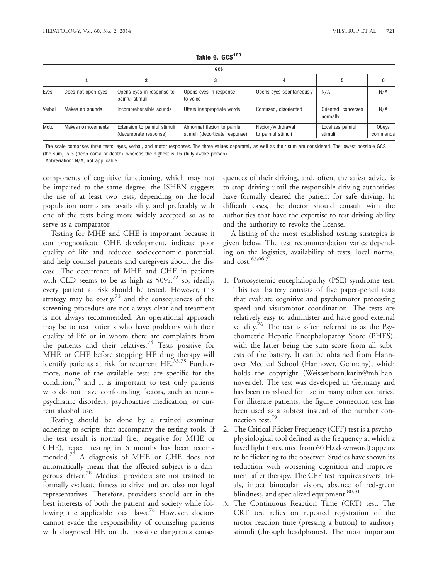|        | GCS                |                                                        |                                                               |                                          |                                 |                   |  |
|--------|--------------------|--------------------------------------------------------|---------------------------------------------------------------|------------------------------------------|---------------------------------|-------------------|--|
|        |                    |                                                        |                                                               |                                          |                                 |                   |  |
| Eyes   | Does not open eyes | Opens eyes in response to<br>painful stimuli           | Opens eyes in response<br>to voice                            | Opens eyes spontaneously                 | N/A                             | N/A               |  |
| Verbal | Makes no sounds    | Incomprehensible sounds                                | Utters inappropriate words                                    | Confused, disoriented                    | Oriented, converses<br>normally | N/A               |  |
| Motor  | Makes no movements | Extension to painful stimuli<br>(decerebrate response) | Abnormal flexion to painful<br>stimuli (decorticate response) | Flexion/withdrawal<br>to painful stimuli | Localizes painful<br>stimuli    | Obeys<br>commands |  |

Table 6.  $GCS<sup>169</sup>$ 

The scale comprises three tests: eyes, verbal, and motor responses. The three values separately as well as their sum are considered. The lowest possible GCS (the sum) is 3 (deep coma or death), whereas the highest is 15 (fully awake person).

Abbreviation: N/A, not applicable.

components of cognitive functioning, which may not be impaired to the same degree, the ISHEN suggests the use of at least two tests, depending on the local population norms and availability, and preferably with one of the tests being more widely accepted so as to serve as a comparator.

Testing for MHE and CHE is important because it can prognosticate OHE development, indicate poor quality of life and reduced socioeconomic potential, and help counsel patients and caregivers about the disease. The occurrence of MHE and CHE in patients with CLD seems to be as high as  $50\%$ ,  $72$  so, ideally, every patient at risk should be tested. However, this strategy may be  $costly<sub>1</sub><sup>73</sup>$  and the consequences of the screening procedure are not always clear and treatment is not always recommended. An operational approach may be to test patients who have problems with their quality of life or in whom there are complaints from the patients and their relatives.<sup>74</sup> Tests positive for MHE or CHE before stopping HE drug therapy will identify patients at risk for recurrent HE. $^{33,75}$  Furthermore, none of the available tests are specific for the condition,<sup>76</sup> and it is important to test only patients who do not have confounding factors, such as neuropsychiatric disorders, psychoactive medication, or current alcohol use.

Testing should be done by a trained examiner adhering to scripts that accompany the testing tools. If the test result is normal (i.e., negative for MHE or CHE), repeat testing in 6 months has been recommended.<sup>77</sup> A diagnosis of MHE or CHE does not automatically mean that the affected subject is a dangerous driver.78 Medical providers are not trained to formally evaluate fitness to drive and are also not legal representatives. Therefore, providers should act in the best interests of both the patient and society while following the applicable local laws.<sup>78</sup> However, doctors cannot evade the responsibility of counseling patients with diagnosed HE on the possible dangerous consequences of their driving, and, often, the safest advice is to stop driving until the responsible driving authorities have formally cleared the patient for safe driving. In difficult cases, the doctor should consult with the authorities that have the expertise to test driving ability and the authority to revoke the license.

A listing of the most established testing strategies is given below. The test recommendation varies depending on the logistics, availability of tests, local norms, and cost.  $65,66,71$ 

- 1. Portosystemic encephalopathy (PSE) syndrome test. This test battery consists of five paper-pencil tests that evaluate cognitive and psychomotor processing speed and visuomotor coordination. The tests are relatively easy to administer and have good external validity.<sup>76</sup> The test is often referred to as the Psychometric Hepatic Encephalopathy Score (PHES), with the latter being the sum score from all subtests of the battery. It can be obtained from Hannover Medical School (Hannover, Germany), which holds the copyright (Weissenborn.karin@mh-hannover.de). The test was developed in Germany and has been translated for use in many other countries. For illiterate patients, the figure connection test has been used as a subtest instead of the number connection test.<sup>79</sup>
- 2. The Critical Flicker Frequency (CFF) test is a psychophysiological tool defined as the frequency at which a fused light (presented from 60 Hz downward) appears to be flickering to the observer. Studies have shown its reduction with worsening cognition and improvement after therapy. The CFF test requires several trials, intact binocular vision, absence of red-green blindness, and specialized equipment.<sup>80,81</sup>
- 3. The Continuous Reaction Time (CRT) test. The CRT test relies on repeated registration of the motor reaction time (pressing a button) to auditory stimuli (through headphones). The most important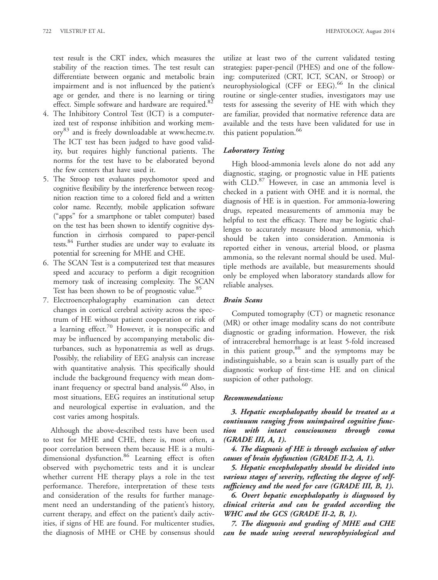test result is the CRT index, which measures the stability of the reaction times. The test result can differentiate between organic and metabolic brain impairment and is not influenced by the patient's age or gender, and there is no learning or tiring effect. Simple software and hardware are required.<sup>82</sup>

- 4. The Inhibitory Control Test (ICT) is a computerized test of response inhibition and working memory<sup>83</sup> and is freely downloadable at [www.hecme.tv.](http://www.hecme.tv) The ICT test has been judged to have good validity, but requires highly functional patients. The norms for the test have to be elaborated beyond the few centers that have used it.
- 5. The Stroop test evaluates psychomotor speed and cognitive flexibility by the interference between recognition reaction time to a colored field and a written color name. Recently, mobile application software ("apps" for a smartphone or tablet computer) based on the test has been shown to identify cognitive dysfunction in cirrhosis compared to paper-pencil tests.<sup>84</sup> Further studies are under way to evaluate its potential for screening for MHE and CHE.
- 6. The SCAN Test is a computerized test that measures speed and accuracy to perform a digit recognition memory task of increasing complexity. The SCAN Test has been shown to be of prognostic value.<sup>85</sup>
- 7. Electroencephalography examination can detect changes in cortical cerebral activity across the spectrum of HE without patient cooperation or risk of a learning effect.<sup>70</sup> However, it is nonspecific and may be influenced by accompanying metabolic disturbances, such as hyponatremia as well as drugs. Possibly, the reliability of EEG analysis can increase with quantitative analysis. This specifically should include the background frequency with mean dominant frequency or spectral band analysis.<sup>60</sup> Also, in most situations, EEG requires an institutional setup and neurological expertise in evaluation, and the cost varies among hospitals.

Although the above-described tests have been used to test for MHE and CHE, there is, most often, a poor correlation between them because HE is a multidimensional dysfunction.<sup>86</sup> Learning effect is often observed with psychometric tests and it is unclear whether current HE therapy plays a role in the test performance. Therefore, interpretation of these tests and consideration of the results for further management need an understanding of the patient's history, current therapy, and effect on the patient's daily activities, if signs of HE are found. For multicenter studies, the diagnosis of MHE or CHE by consensus should

utilize at least two of the current validated testing strategies: paper-pencil (PHES) and one of the following: computerized (CRT, ICT, SCAN, or Stroop) or neurophysiological (CFF or EEG).<sup>66</sup> In the clinical routine or single-center studies, investigators may use tests for assessing the severity of HE with which they are familiar, provided that normative reference data are available and the tests have been validated for use in this patient population.<sup>66</sup>

# Laboratory Testing

High blood-ammonia levels alone do not add any diagnostic, staging, or prognostic value in HE patients with CLD.<sup>87</sup> However, in case an ammonia level is checked in a patient with OHE and it is normal, the diagnosis of HE is in question. For ammonia-lowering drugs, repeated measurements of ammonia may be helpful to test the efficacy. There may be logistic challenges to accurately measure blood ammonia, which should be taken into consideration. Ammonia is reported either in venous, arterial blood, or plasma ammonia, so the relevant normal should be used. Multiple methods are available, but measurements should only be employed when laboratory standards allow for reliable analyses.

#### Brain Scans

Computed tomography (CT) or magnetic resonance (MR) or other image modality scans do not contribute diagnostic or grading information. However, the risk of intracerebral hemorrhage is at least 5-fold increased in this patient group,<sup>88</sup> and the symptoms may be indistinguishable, so a brain scan is usually part of the diagnostic workup of first-time HE and on clinical suspicion of other pathology.

#### Recommendations:

3. Hepatic encephalopathy should be treated as a continuum ranging from unimpaired cognitive function with intact consciousness through coma (GRADE III, A, 1).

4. The diagnosis of HE is through exclusion of other causes of brain dysfunction (GRADE II-2, A, 1).

5. Hepatic encephalopathy should be divided into various stages of severity, reflecting the degree of selfsufficiency and the need for care (GRADE III, B, 1).

6. Overt hepatic encephalopathy is diagnosed by clinical criteria and can be graded according the WHC and the GCS (GRADE II-2, B, 1).

7. The diagnosis and grading of MHE and CHE can be made using several neurophysiological and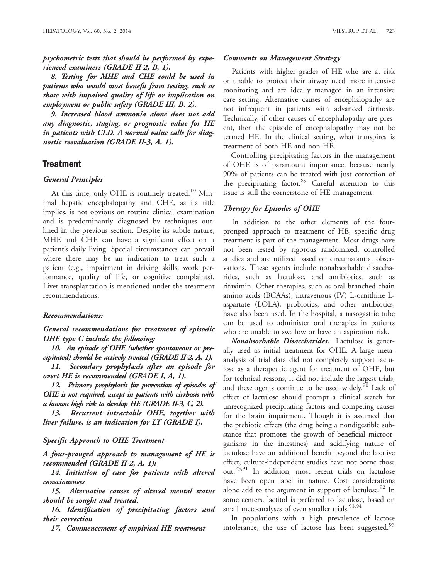psychometric tests that should be performed by experienced examiners (GRADE II-2, B, 1).

8. Testing for MHE and CHE could be used in patients who would most benefit from testing, such as those with impaired quality of life or implication on employment or public safety (GRADE III, B, 2).

9. Increased blood ammonia alone does not add any diagnostic, staging, or prognostic value for HE in patients with CLD. A normal value calls for diagnostic reevaluation (GRADE II-3, A, 1).

# Treatment

## General Principles

At this time, only OHE is routinely treated.<sup>10</sup> Minimal hepatic encephalopathy and CHE, as its title implies, is not obvious on routine clinical examination and is predominantly diagnosed by techniques outlined in the previous section. Despite its subtle nature, MHE and CHE can have a significant effect on a patient's daily living. Special circumstances can prevail where there may be an indication to treat such a patient (e.g., impairment in driving skills, work performance, quality of life, or cognitive complaints). Liver transplantation is mentioned under the treatment recommendations.

#### Recommendations:

General recommendations for treatment of episodic OHE type C include the following:

10. An episode of OHE (whether spontaneous or precipitated) should be actively treated (GRADE II-2, A, 1).

11. Secondary prophylaxis after an episode for overt HE is recommended (GRADE I, A, 1).

12. Primary prophylaxis for prevention of episodes of OHE is not required, except in patients with cirrhosis with a known high risk to develop HE (GRADE II-3, C, 2).

13. Recurrent intractable OHE, together with liver failure, is an indication for LT (GRADE I).

## Specific Approach to OHE Treatment

A four-pronged approach to management of HE is recommended (GRADE II-2, A, 1):

14. Initiation of care for patients with altered consciousness

15. Alternative causes of altered mental status should be sought and treated.

16. Identification of precipitating factors and their correction

17. Commencement of empirical HE treatment

Patients with higher grades of HE who are at risk or unable to protect their airway need more intensive monitoring and are ideally managed in an intensive care setting. Alternative causes of encephalopathy are not infrequent in patients with advanced cirrhosis. Technically, if other causes of encephalopathy are present, then the episode of encephalopathy may not be termed HE. In the clinical setting, what transpires is treatment of both HE and non-HE.

Controlling precipitating factors in the management of OHE is of paramount importance, because nearly 90% of patients can be treated with just correction of the precipitating factor.<sup>89</sup> Careful attention to this issue is still the cornerstone of HE management.

## Therapy for Episodes of OHE

In addition to the other elements of the fourpronged approach to treatment of HE, specific drug treatment is part of the management. Most drugs have not been tested by rigorous randomized, controlled studies and are utilized based on circumstantial observations. These agents include nonabsorbable disaccharides, such as lactulose, and antibiotics, such as rifaximin. Other therapies, such as oral branched-chain amino acids (BCAAs), intravenous (IV) L-ornithine Laspartate (LOLA), probiotics, and other antibiotics, have also been used. In the hospital, a nasogastric tube can be used to administer oral therapies in patients who are unable to swallow or have an aspiration risk.

Nonabsorbable Disaccharides. Lactulose is generally used as initial treatment for OHE. A large metaanalysis of trial data did not completely support lactulose as a therapeutic agent for treatment of OHE, but for technical reasons, it did not include the largest trials, and these agents continue to be used widely. $90$  Lack of effect of lactulose should prompt a clinical search for unrecognized precipitating factors and competing causes for the brain impairment. Though it is assumed that the prebiotic effects (the drug being a nondigestible substance that promotes the growth of beneficial microorganisms in the intestines) and acidifying nature of lactulose have an additional benefit beyond the laxative effect, culture-independent studies have not borne those out.75,91 In addition, most recent trials on lactulose have been open label in nature. Cost considerations alone add to the argument in support of lactulose. $92$  In some centers, lactitol is preferred to lactulose, based on small meta-analyses of even smaller trials.<sup>93,94</sup>

In populations with a high prevalence of lactose intolerance, the use of lactose has been suggested. $95$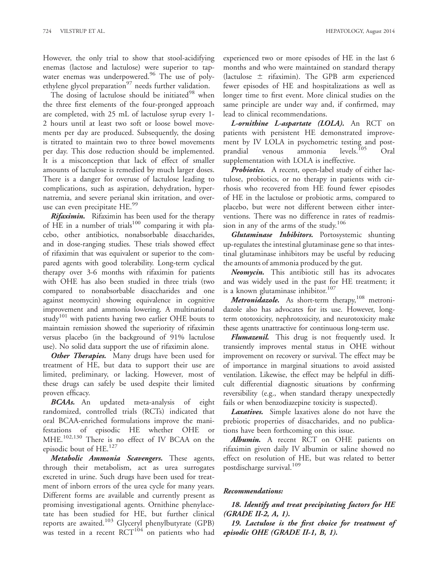724 VILSTRUP ET AL. HEPATOLOGY, August 2014

However, the only trial to show that stool-acidifying enemas (lactose and lactulose) were superior to tapwater enemas was underpowered.<sup>96</sup> The use of polyethylene glycol preparation $^{97}$  needs further validation.

The dosing of lactulose should be initiated<sup>98</sup> when the three first elements of the four-pronged approach are completed, with 25 mL of lactulose syrup every 1- 2 hours until at least two soft or loose bowel movements per day are produced. Subsequently, the dosing is titrated to maintain two to three bowel movements per day. This dose reduction should be implemented. It is a misconception that lack of effect of smaller amounts of lactulose is remedied by much larger doses. There is a danger for overuse of lactulose leading to complications, such as aspiration, dehydration, hypernatremia, and severe perianal skin irritation, and overuse can even precipitate HE.<sup>99</sup>

Rifaximin. Rifaximin has been used for the therapy of HE in a number of trials $100$  comparing it with placebo, other antibiotics, nonabsorbable disaccharides, and in dose-ranging studies. These trials showed effect of rifaximin that was equivalent or superior to the compared agents with good tolerability. Long-term cyclical therapy over 3-6 months with rifaximin for patients with OHE has also been studied in three trials (two compared to nonabsorbable disaccharides and one against neomycin) showing equivalence in cognitive improvement and ammonia lowering. A multinational study<sup>101</sup> with patients having two earlier OHE bouts to maintain remission showed the superiority of rifaximin versus placebo (in the background of 91% lactulose use). No solid data support the use of rifaximin alone.

Other Therapies. Many drugs have been used for treatment of HE, but data to support their use are limited, preliminary, or lacking. However, most of these drugs can safely be used despite their limited proven efficacy.

BCAAs. An updated meta-analysis of eight randomized, controlled trials (RCTs) indicated that oral BCAA-enriched formulations improve the manifestations of episodic HE whether OHE or MHE.102,130 There is no effect of IV BCAA on the episodic bout of HE.127

Metabolic Ammonia Scavengers. These agents, through their metabolism, act as urea surrogates excreted in urine. Such drugs have been used for treatment of inborn errors of the urea cycle for many years. Different forms are available and currently present as promising investigational agents. Ornithine phenylacetate has been studied for HE, but further clinical reports are awaited.<sup>103</sup> Glyceryl phenylbutyrate (GPB) was tested in a recent  $\mathrm{RCT}^{104}$  on patients who had

experienced two or more episodes of HE in the last 6 months and who were maintained on standard therapy (lactulose  $\pm$  rifaximin). The GPB arm experienced fewer episodes of HE and hospitalizations as well as longer time to first event. More clinical studies on the same principle are under way and, if confirmed, may lead to clinical recommendations.

L-ornithine L-aspartate (LOLA). An RCT on patients with persistent HE demonstrated improvement by IV LOLA in psychometric testing and postprandial venous ammonia levels.<sup>105</sup> Oral supplementation with LOLA is ineffective.

**Probiotics.** A recent, open-label study of either lactulose, probiotics, or no therapy in patients with cirrhosis who recovered from HE found fewer episodes of HE in the lactulose or probiotic arms, compared to placebo, but were not different between either interventions. There was no difference in rates of readmission in any of the arms of the study.<sup>106</sup>

Glutaminase Inhibitors. Portosystemic shunting up-regulates the intestinal glutaminase gene so that intestinal glutaminase inhibitors may be useful by reducing the amounts of ammonia produced by the gut.

Neomycin. This antibiotic still has its advocates and was widely used in the past for HE treatment; it is a known glutaminase inhibitor.<sup>107</sup>

**Metronidazole.** As short-term therapy,<sup>108</sup> metronidazole also has advocates for its use. However, longterm ototoxicity, nephrotoxicity, and neurotoxicity make these agents unattractive for continuous long-term use.

**Flumazenil.** This drug is not frequently used. It transiently improves mental status in OHE without improvement on recovery or survival. The effect may be of importance in marginal situations to avoid assisted ventilation. Likewise, the effect may be helpful in difficult differential diagnostic situations by confirming reversibility (e.g., when standard therapy unexpectedly fails or when benzodiazepine toxicity is suspected).

Laxatives. Simple laxatives alone do not have the prebiotic properties of disaccharides, and no publications have been forthcoming on this issue.

Albumin. A recent RCT on OHE patients on rifaximin given daily IV albumin or saline showed no effect on resolution of HE, but was related to better postdischarge survival.<sup>109</sup>

## Recommendations:

## 18. Identify and treat precipitating factors for HE (GRADE II-2, A, 1).

19. Lactulose is the first choice for treatment of episodic OHE (GRADE II-1, B, 1).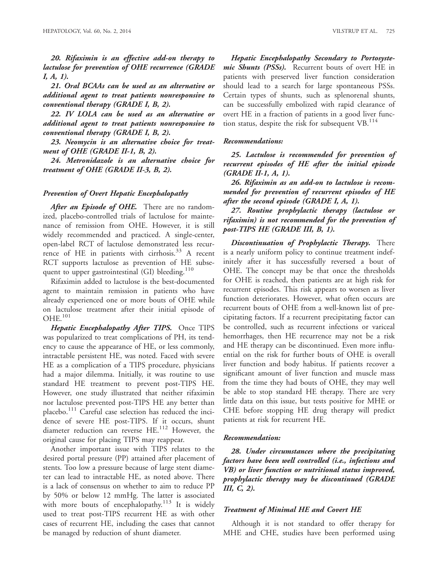20. Rifaximin is an effective add-on therapy to lactulose for prevention of OHE recurrence (GRADE I, A, 1).

21. Oral BCAAs can be used as an alternative or additional agent to treat patients nonresponsive to conventional therapy (GRADE I, B, 2).

22. IV LOLA can be used as an alternative or additional agent to treat patients nonresponsive to conventional therapy (GRADE I, B, 2).

23. Neomycin is an alternative choice for treatment of OHE (GRADE II-1, B, 2).

24. Metronidazole is an alternative choice for treatment of OHE (GRADE II-3, B, 2).

## Prevention of Overt Hepatic Encephalopathy

After an Episode of OHE. There are no randomized, placebo-controlled trials of lactulose for maintenance of remission from OHE. However, it is still widely recommended and practiced. A single-center, open-label RCT of lactulose demonstrated less recurrence of HE in patients with cirrhosis.<sup>33</sup> A recent RCT supports lactulose as prevention of HE subsequent to upper gastrointestinal (GI) bleeding.<sup>110</sup>

Rifaximin added to lactulose is the best-documented agent to maintain remission in patients who have already experienced one or more bouts of OHE while on lactulose treatment after their initial episode of  $OHE.<sup>101</sup>$ 

Hepatic Encephalopathy After TIPS. Once TIPS was popularized to treat complications of PH, its tendency to cause the appearance of HE, or less commonly, intractable persistent HE, was noted. Faced with severe HE as a complication of a TIPS procedure, physicians had a major dilemma. Initially, it was routine to use standard HE treatment to prevent post-TIPS HE. However, one study illustrated that neither rifaximin nor lactulose prevented post-TIPS HE any better than placebo.<sup>111</sup> Careful case selection has reduced the incidence of severe HE post-TIPS. If it occurs, shunt diameter reduction can reverse HE.112 However, the original cause for placing TIPS may reappear.

Another important issue with TIPS relates to the desired portal pressure (PP) attained after placement of stents. Too low a pressure because of large stent diameter can lead to intractable HE, as noted above. There is a lack of consensus on whether to aim to reduce PP by 50% or below 12 mmHg. The latter is associated with more bouts of encephalopathy.<sup>113</sup> It is widely used to treat post-TIPS recurrent HE as with other cases of recurrent HE, including the cases that cannot be managed by reduction of shunt diameter.

Hepatic Encephalopathy Secondary to Portosystemic Shunts (PSSs). Recurrent bouts of overt HE in patients with preserved liver function consideration should lead to a search for large spontaneous PSSs. Certain types of shunts, such as splenorenal shunts, can be successfully embolized with rapid clearance of overt HE in a fraction of patients in a good liver function status, despite the risk for subsequent  $VB$ .<sup>114</sup>

#### Recommendations:

25. Lactulose is recommended for prevention of recurrent episodes of HE after the initial episode (GRADE II-1, A, 1).

26. Rifaximin as an add-on to lactulose is recommended for prevention of recurrent episodes of HE after the second episode (GRADE I, A, 1).

27. Routine prophylactic therapy (lactulose or rifaximin) is not recommended for the prevention of post-TIPS HE (GRADE III, B, 1).

Discontinuation of Prophylactic Therapy. There is a nearly uniform policy to continue treatment indefinitely after it has successfully reversed a bout of OHE. The concept may be that once the thresholds for OHE is reached, then patients are at high risk for recurrent episodes. This risk appears to worsen as liver function deteriorates. However, what often occurs are recurrent bouts of OHE from a well-known list of precipitating factors. If a recurrent precipitating factor can be controlled, such as recurrent infections or variceal hemorrhages, then HE recurrence may not be a risk and HE therapy can be discontinued. Even more influential on the risk for further bouts of OHE is overall liver function and body habitus. If patients recover a significant amount of liver function and muscle mass from the time they had bouts of OHE, they may well be able to stop standard HE therapy. There are very little data on this issue, but tests positive for MHE or CHE before stopping HE drug therapy will predict patients at risk for recurrent HE.

#### Recommendation:

28. Under circumstances where the precipitating factors have been well controlled (i.e., infections and VB) or liver function or nutritional status improved, prophylactic therapy may be discontinued (GRADE III, C, 2).

#### Treatment of Minimal HE and Covert HE

Although it is not standard to offer therapy for MHE and CHE, studies have been performed using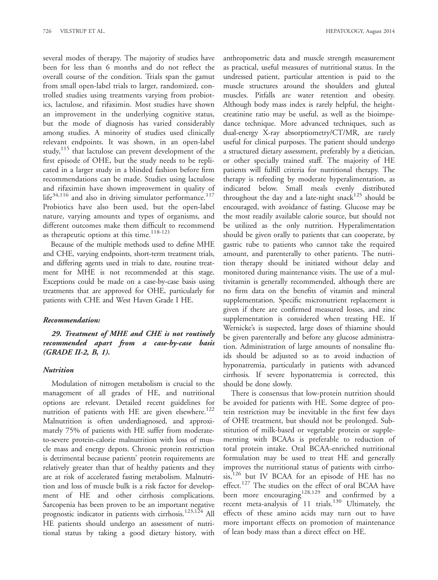several modes of therapy. The majority of studies have been for less than 6 months and do not reflect the overall course of the condition. Trials span the gamut from small open-label trials to larger, randomized, controlled studies using treatments varying from probiotics, lactulose, and rifaximin. Most studies have shown an improvement in the underlying cognitive status, but the mode of diagnosis has varied considerably among studies. A minority of studies used clinically relevant endpoints. It was shown, in an open-label study,  $115$  that lactulose can prevent development of the first episode of OHE, but the study needs to be replicated in a larger study in a blinded fashion before firm recommendations can be made. Studies using lactulose and rifaximin have shown improvement in quality of  $life^{34,116}$  and also in driving simulator performance.<sup>117</sup> Probiotics have also been used, but the open-label nature, varying amounts and types of organisms, and different outcomes make them difficult to recommend as therapeutic options at this time.<sup>118-121</sup>

Because of the multiple methods used to define MHE and CHE, varying endpoints, short-term treatment trials, and differing agents used in trials to date, routine treatment for MHE is not recommended at this stage. Exceptions could be made on a case-by-case basis using treatments that are approved for OHE, particularly for patients with CHE and West Haven Grade I HE.

## Recommendation:

29. Treatment of MHE and CHE is not routinely recommended apart from a case-by-case basis (GRADE II-2, B, 1).

## Nutrition

Modulation of nitrogen metabolism is crucial to the management of all grades of HE, and nutritional options are relevant. Detailed recent guidelines for nutrition of patients with HE are given elsewhere.<sup>122</sup> Malnutrition is often underdiagnosed, and approximately 75% of patients with HE suffer from moderateto-severe protein-calorie malnutrition with loss of muscle mass and energy depots. Chronic protein restriction is detrimental because patients' protein requirements are relatively greater than that of healthy patients and they are at risk of accelerated fasting metabolism. Malnutrition and loss of muscle bulk is a risk factor for development of HE and other cirrhosis complications. Sarcopenia has been proven to be an important negative prognostic indicator in patients with cirrhosis.123,124 All HE patients should undergo an assessment of nutritional status by taking a good dietary history, with

anthropometric data and muscle strength measurement as practical, useful measures of nutritional status. In the undressed patient, particular attention is paid to the muscle structures around the shoulders and gluteal muscles. Pitfalls are water retention and obesity. Although body mass index is rarely helpful, the heightcreatinine ratio may be useful, as well as the bioimpedance technique. More advanced techniques, such as dual-energy X-ray absorptiometry/CT/MR, are rarely useful for clinical purposes. The patient should undergo a structured dietary assessment, preferably by a dietician, or other specially trained staff. The majority of HE patients will fulfill criteria for nutritional therapy. The therapy is refeeding by moderate hyperalimentation, as indicated below. Small meals evenly distributed throughout the day and a late-night snack $125$  should be encouraged, with avoidance of fasting. Glucose may be the most readily available calorie source, but should not be utilized as the only nutrition. Hyperalimentation should be given orally to patients that can cooperate, by gastric tube to patients who cannot take the required amount, and parenterally to other patients. The nutrition therapy should be initiated without delay and monitored during maintenance visits. The use of a multivitamin is generally recommended, although there are no firm data on the benefits of vitamin and mineral supplementation. Specific micronutrient replacement is given if there are confirmed measured losses, and zinc supplementation is considered when treating HE. If Wernicke's is suspected, large doses of thiamine should be given parenterally and before any glucose administration. Administration of large amounts of nonsaline fluids should be adjusted so as to avoid induction of hyponatremia, particularly in patients with advanced cirrhosis. If severe hyponatremia is corrected, this should be done slowly.

There is consensus that low-protein nutrition should be avoided for patients with HE. Some degree of protein restriction may be inevitable in the first few days of OHE treatment, but should not be prolonged. Substitution of milk-based or vegetable protein or supplementing with BCAAs is preferable to reduction of total protein intake. Oral BCAA-enriched nutritional formulation may be used to treat HE and generally improves the nutritional status of patients with cirrhosis,<sup>126</sup> but IV BCAA for an episode of HE has no effect.<sup>127</sup> The studies on the effect of oral BCAA have been more encouraging<sup>128,129</sup> and confirmed by a recent meta-analysis of 11 trials.<sup>130</sup> Ultimately, the effects of these amino acids may turn out to have more important effects on promotion of maintenance of lean body mass than a direct effect on HE.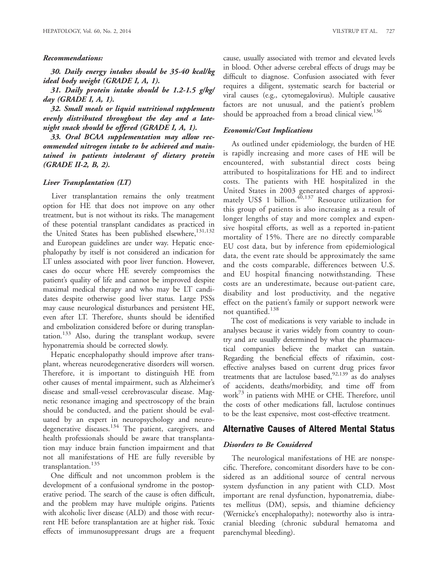#### Recommendations:

30. Daily energy intakes should be 35-40 kcal/kg ideal body weight (GRADE I, A, 1).

31. Daily protein intake should be 1.2-1.5 g/kg/  $day$  (GRADE I, A, 1).

32. Small meals or liquid nutritional supplements evenly distributed throughout the day and a latenight snack should be offered (GRADE I, A, 1).

33. Oral BCAA supplementation may allow recommended nitrogen intake to be achieved and maintained in patients intolerant of dietary protein (GRADE II-2, B, 2).

#### Liver Transplantation (LT)

Liver transplantation remains the only treatment option for HE that does not improve on any other treatment, but is not without its risks. The management of these potential transplant candidates as practiced in the United States has been published elsewhere,<sup>131,132</sup> and European guidelines are under way. Hepatic encephalopathy by itself is not considered an indication for LT unless associated with poor liver function. However, cases do occur where HE severely compromises the patient's quality of life and cannot be improved despite maximal medical therapy and who may be LT candidates despite otherwise good liver status. Large PSSs may cause neurological disturbances and persistent HE, even after LT. Therefore, shunts should be identified and embolization considered before or during transplantation.133 Also, during the transplant workup, severe hyponatremia should be corrected slowly.

Hepatic encephalopathy should improve after transplant, whereas neurodegenerative disorders will worsen. Therefore, it is important to distinguish HE from other causes of mental impairment, such as Alzheimer's disease and small-vessel cerebrovascular disease. Magnetic resonance imaging and spectroscopy of the brain should be conducted, and the patient should be evaluated by an expert in neuropsychology and neurodegenerative diseases.<sup>134</sup> The patient, caregivers, and health professionals should be aware that transplantation may induce brain function impairment and that not all manifestations of HE are fully reversible by transplantation.<sup>135</sup>

One difficult and not uncommon problem is the development of a confusional syndrome in the postoperative period. The search of the cause is often difficult, and the problem may have multiple origins. Patients with alcoholic liver disease (ALD) and those with recurrent HE before transplantation are at higher risk. Toxic effects of immunosuppressant drugs are a frequent

cause, usually associated with tremor and elevated levels in blood. Other adverse cerebral effects of drugs may be difficult to diagnose. Confusion associated with fever requires a diligent, systematic search for bacterial or viral causes (e.g., cytomegalovirus). Multiple causative factors are not unusual, and the patient's problem should be approached from a broad clinical view.<sup>136</sup>

## Economic/Cost Implications

As outlined under epidemiology, the burden of HE is rapidly increasing and more cases of HE will be encountered, with substantial direct costs being attributed to hospitalizations for HE and to indirect costs. The patients with HE hospitalized in the United States in 2003 generated charges of approximately US\$ 1 billion.<sup>40,137</sup> Resource utilization for this group of patients is also increasing as a result of longer lengths of stay and more complex and expensive hospital efforts, as well as a reported in-patient mortality of 15%. There are no directly comparable EU cost data, but by inference from epidemiological data, the event rate should be approximately the same and the costs comparable, differences between U.S. and EU hospital financing notwithstanding. These costs are an underestimate, because out-patient care, disability and lost productivity, and the negative effect on the patient's family or support network were not quantified.<sup>138</sup>

The cost of medications is very variable to include in analyses because it varies widely from country to country and are usually determined by what the pharmaceutical companies believe the market can sustain. Regarding the beneficial effects of rifaximin, costeffective analyses based on current drug prices favor treatments that are lactulose based,  $92,139$  as do analyses of accidents, deaths/morbidity, and time off from work<sup>73</sup> in patients with MHE or CHE. Therefore, until the costs of other medications fall, lactulose continues to be the least expensive, most cost-effective treatment.

# Alternative Causes of Altered Mental Status

#### Disorders to Be Considered

The neurological manifestations of HE are nonspecific. Therefore, concomitant disorders have to be considered as an additional source of central nervous system dysfunction in any patient with CLD. Most important are renal dysfunction, hyponatremia, diabetes mellitus (DM), sepsis, and thiamine deficiency (Wernicke's encephalopathy); noteworthy also is intracranial bleeding (chronic subdural hematoma and parenchymal bleeding).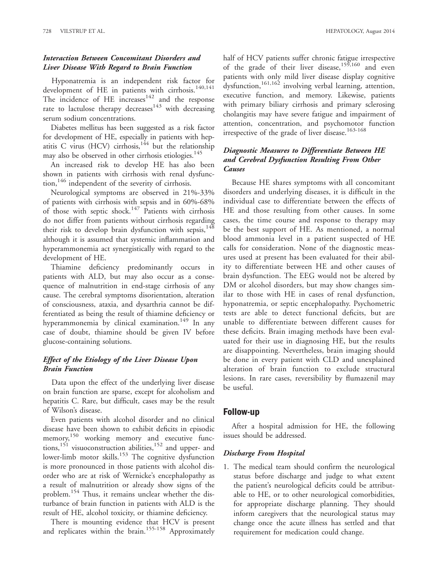## Interaction Between Concomitant Disorders and Liver Disease With Regard to Brain Function

Hyponatremia is an independent risk factor for development of HE in patients with cirrhosis.140,141 The incidence of HE increases $142$  and the response rate to lactulose therapy decreases<sup>143</sup> with decreasing serum sodium concentrations.

Diabetes mellitus has been suggested as a risk factor for development of HE, especially in patients with hepatitis C virus (HCV) cirrhosis,<sup>144</sup> but the relationship may also be observed in other cirrhosis etiologies.<sup>145</sup>

An increased risk to develop HE has also been shown in patients with cirrhosis with renal dysfunc- $\text{tion}$ ,<sup>146</sup> independent of the severity of cirrhosis.

Neurological symptoms are observed in 21%-33% of patients with cirrhosis with sepsis and in 60%-68% of those with septic shock.<sup>147</sup> Patients with cirrhosis do not differ from patients without cirrhosis regarding their risk to develop brain dysfunction with sepsis,<sup>148</sup> although it is assumed that systemic inflammation and hyperammonemia act synergistically with regard to the development of HE.

Thiamine deficiency predominantly occurs in patients with ALD, but may also occur as a consequence of malnutrition in end-stage cirrhosis of any cause. The cerebral symptoms disorientation, alteration of consciousness, ataxia, and dysarthria cannot be differentiated as being the result of thiamine deficiency or hyperammonemia by clinical examination.<sup>149</sup> In any case of doubt, thiamine should be given IV before glucose-containing solutions.

# Effect of the Etiology of the Liver Disease Upon Brain Function

Data upon the effect of the underlying liver disease on brain function are sparse, except for alcoholism and hepatitis C. Rare, but difficult, cases may be the result of Wilson's disease.

Even patients with alcohol disorder and no clinical disease have been shown to exhibit deficits in episodic memory,<sup>150</sup> working memory and executive func- $\frac{151}{151}$  visuoconstruction abilities,<sup>152</sup> and upper- and lower-limb motor skills.<sup>153</sup> The cognitive dysfunction is more pronounced in those patients with alcohol disorder who are at risk of Wernicke's encephalopathy as a result of malnutrition or already show signs of the problem.<sup>154</sup> Thus, it remains unclear whether the disturbance of brain function in patients with ALD is the result of HE, alcohol toxicity, or thiamine deficiency.

There is mounting evidence that HCV is present and replicates within the brain.<sup>155-158</sup> Approximately

half of HCV patients suffer chronic fatigue irrespective of the grade of their liver disease,  $159,160$  and even patients with only mild liver disease display cognitive  $\frac{1}{4}$  dysfunction,<sup>161,162</sup> involving verbal learning, attention, executive function, and memory. Likewise, patients with primary biliary cirrhosis and primary sclerosing cholangitis may have severe fatigue and impairment of attention, concentration, and psychomotor function irrespective of the grade of liver disease.<sup>163-168</sup>

# Diagnostic Measures to Differentiate Between HE and Cerebral Dysfunction Resulting From Other **Causes**

Because HE shares symptoms with all concomitant disorders and underlying diseases, it is difficult in the individual case to differentiate between the effects of HE and those resulting from other causes. In some cases, the time course and response to therapy may be the best support of HE. As mentioned, a normal blood ammonia level in a patient suspected of HE calls for consideration. None of the diagnostic measures used at present has been evaluated for their ability to differentiate between HE and other causes of brain dysfunction. The EEG would not be altered by DM or alcohol disorders, but may show changes similar to those with HE in cases of renal dysfunction, hyponatremia, or septic encephalopathy. Psychometric tests are able to detect functional deficits, but are unable to differentiate between different causes for these deficits. Brain imaging methods have been evaluated for their use in diagnosing HE, but the results are disappointing. Nevertheless, brain imaging should be done in every patient with CLD and unexplained alteration of brain function to exclude structural lesions. In rare cases, reversibility by flumazenil may be useful.

## Follow-up

After a hospital admission for HE, the following issues should be addressed.

## Discharge From Hospital

1. The medical team should confirm the neurological status before discharge and judge to what extent the patient's neurological deficits could be attributable to HE, or to other neurological comorbidities, for appropriate discharge planning. They should inform caregivers that the neurological status may change once the acute illness has settled and that requirement for medication could change.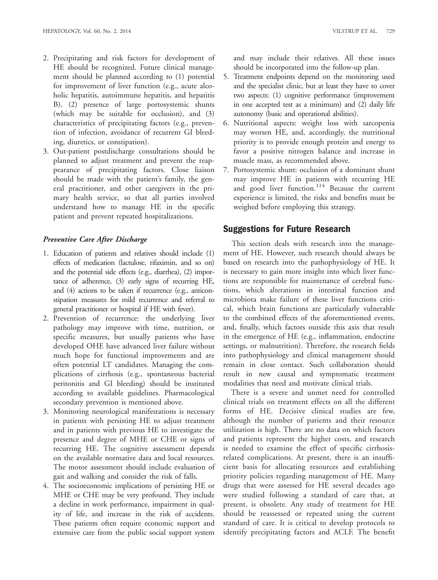- 2. Precipitating and risk factors for development of HE should be recognized. Future clinical management should be planned according to (1) potential for improvement of liver function (e.g., acute alcoholic hepatitis, autoimmune hepatitis, and hepatitis B), (2) presence of large portosystemic shunts (which may be suitable for occlusion), and (3) characteristics of precipitating factors (e.g., prevention of infection, avoidance of recurrent GI bleeding, diuretics, or constipation).
- 3. Out-patient postdischarge consultations should be planned to adjust treatment and prevent the reappearance of precipitating factors. Close liaison should be made with the patient's family, the general practitioner, and other caregivers in the primary health service, so that all parties involved understand how to manage HE in the specific patient and prevent repeated hospitalizations.

## Preventive Care After Discharge

- 1. Education of patients and relatives should include (1) effects of medication (lactulose, rifaximin, and so on) and the potential side effects (e.g., diarrhea), (2) importance of adherence, (3) early signs of recurring HE, and (4) actions to be taken if recurrence (e.g., anticonstipation measures for mild recurrence and referral to general practitioner or hospital if HE with fever).
- 2. Prevention of recurrence: the underlying liver pathology may improve with time, nutrition, or specific measures, but usually patients who have developed OHE have advanced liver failure without much hope for functional improvements and are often potential LT candidates. Managing the complications of cirrhosis (e.g., spontaneous bacterial peritonitis and GI bleeding) should be instituted according to available guidelines. Pharmacological secondary prevention is mentioned above.
- 3. Monitoring neurological manifestations is necessary in patients with persisting HE to adjust treatment and in patients with previous HE to investigate the presence and degree of MHE or CHE or signs of recurring HE. The cognitive assessment depends on the available normative data and local resources. The motor assessment should include evaluation of gait and walking and consider the risk of falls.
- 4. The socioeconomic implications of persisting HE or MHE or CHE may be very profound. They include a decline in work performance, impairment in quality of life, and increase in the risk of accidents. These patients often require economic support and extensive care from the public social support system

and may include their relatives. All these issues should be incorporated into the follow-up plan.

- 5. Treatment endpoints depend on the monitoring used and the specialist clinic, but at least they have to cover two aspects: (1) cognitive performance (improvement in one accepted test as a minimum) and (2) daily life autonomy (basic and operational abilities).
- 6. Nutritional aspects: weight loss with sarcopenia may worsen HE, and, accordingly, the nutritional priority is to provide enough protein and energy to favor a positive nitrogen balance and increase in muscle mass, as recommended above.
- 7. Portosystemic shunt: occlusion of a dominant shunt may improve HE in patients with recurring HE and good liver function.<sup>114</sup> Because the current experience is limited, the risks and benefits must be weighed before employing this strategy.

# Suggestions for Future Research

This section deals with research into the management of HE. However, such research should always be based on research into the pathophysiology of HE. It is necessary to gain more insight into which liver functions are responsible for maintenance of cerebral functions, which alterations in intestinal function and microbiota make failure of these liver functions critical, which brain functions are particularly vulnerable to the combined effects of the aforementioned events, and, finally, which factors outside this axis that result in the emergence of HE (e.g., inflammation, endocrine settings, or malnutrition). Therefore, the research fields into pathophysiology and clinical management should remain in close contact. Such collaboration should result in new causal and symptomatic treatment modalities that need and motivate clinical trials.

There is a severe and unmet need for controlled clinical trials on treatment effects on all the different forms of HE. Decisive clinical studies are few, although the number of patients and their resource utilization is high. There are no data on which factors and patients represent the higher costs, and research is needed to examine the effect of specific cirrhosisrelated complications. At present, there is an insufficient basis for allocating resources and establishing priority policies regarding management of HE. Many drugs that were assessed for HE several decades ago were studied following a standard of care that, at present, is obsolete. Any study of treatment for HE should be reassessed or repeated using the current standard of care. It is critical to develop protocols to identify precipitating factors and ACLF. The benefit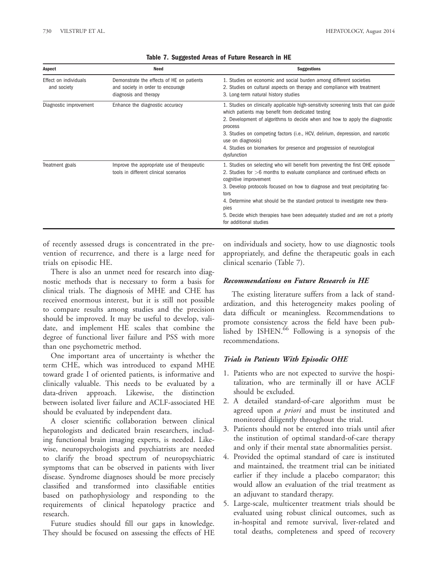| Aspect                               | <b>Need</b>                                                                                             | <b>Suggestions</b>                                                                                                                                                                                                                                                                                                                                                                                                                                                              |
|--------------------------------------|---------------------------------------------------------------------------------------------------------|---------------------------------------------------------------------------------------------------------------------------------------------------------------------------------------------------------------------------------------------------------------------------------------------------------------------------------------------------------------------------------------------------------------------------------------------------------------------------------|
| Effect on individuals<br>and society | Demonstrate the effects of HE on patients<br>and society in order to encourage<br>diagnosis and therapy | 1. Studies on economic and social burden among different societies<br>2. Studies on cultural aspects on therapy and compliance with treatment<br>3. Long-term natural history studies                                                                                                                                                                                                                                                                                           |
| Diagnostic improvement               | Enhance the diagnostic accuracy                                                                         | 1. Studies on clinically applicable high-sensitivity screening tests that can guide<br>which patients may benefit from dedicated testing<br>2. Development of algorithms to decide when and how to apply the diagnostic<br>process<br>3. Studies on competing factors (i.e., HCV, delirium, depression, and narcotic<br>use on diagnosis)<br>4. Studies on biomarkers for presence and progression of neurological<br>dysfunction                                               |
| Treatment goals                      | Improve the appropriate use of therapeutic<br>tools in different clinical scenarios                     | 1. Studies on selecting who will benefit from preventing the first OHE episode<br>2. Studies for $>6$ months to evaluate compliance and continued effects on<br>cognitive improvement<br>3. Develop protocols focused on how to diagnose and treat precipitating fac-<br>tors<br>4. Determine what should be the standard protocol to investigate new thera-<br>pies<br>5. Decide which therapies have been adequately studied and are not a priority<br>for additional studies |

|  |  | Table 7. Suggested Areas of Future Research in HE |  |  |  |  |  |  |
|--|--|---------------------------------------------------|--|--|--|--|--|--|
|--|--|---------------------------------------------------|--|--|--|--|--|--|

of recently assessed drugs is concentrated in the prevention of recurrence, and there is a large need for trials on episodic HE.

There is also an unmet need for research into diagnostic methods that is necessary to form a basis for clinical trials. The diagnosis of MHE and CHE has received enormous interest, but it is still not possible to compare results among studies and the precision should be improved. It may be useful to develop, validate, and implement HE scales that combine the degree of functional liver failure and PSS with more than one psychometric method.

One important area of uncertainty is whether the term CHE, which was introduced to expand MHE toward grade I of oriented patients, is informative and clinically valuable. This needs to be evaluated by a data-driven approach. Likewise, the distinction between isolated liver failure and ACLF-associated HE should be evaluated by independent data.

A closer scientific collaboration between clinical hepatologists and dedicated brain researchers, including functional brain imaging experts, is needed. Likewise, neuropsychologists and psychiatrists are needed to clarify the broad spectrum of neuropsychiatric symptoms that can be observed in patients with liver disease. Syndrome diagnoses should be more precisely classified and transformed into classifiable entities based on pathophysiology and responding to the requirements of clinical hepatology practice and research.

Future studies should fill our gaps in knowledge. They should be focused on assessing the effects of HE

on individuals and society, how to use diagnostic tools appropriately, and define the therapeutic goals in each clinical scenario (Table 7).

## Recommendations on Future Research in HE

The existing literature suffers from a lack of standardization, and this heterogeneity makes pooling of data difficult or meaningless. Recommendations to promote consistency across the field have been published by ISHEN. $^{66}$  Following is a synopsis of the recommendations.

#### Trials in Patients With Episodic OHE

- 1. Patients who are not expected to survive the hospitalization, who are terminally ill or have ACLF should be excluded.
- 2. A detailed standard-of-care algorithm must be agreed upon *a priori* and must be instituted and monitored diligently throughout the trial.
- 3. Patients should not be entered into trials until after the institution of optimal standard-of-care therapy and only if their mental state abnormalities persist.
- 4. Provided the optimal standard of care is instituted and maintained, the treatment trial can be initiated earlier if they include a placebo comparator; this would allow an evaluation of the trial treatment as an adjuvant to standard therapy.
- 5. Large-scale, multicenter treatment trials should be evaluated using robust clinical outcomes, such as in-hospital and remote survival, liver-related and total deaths, completeness and speed of recovery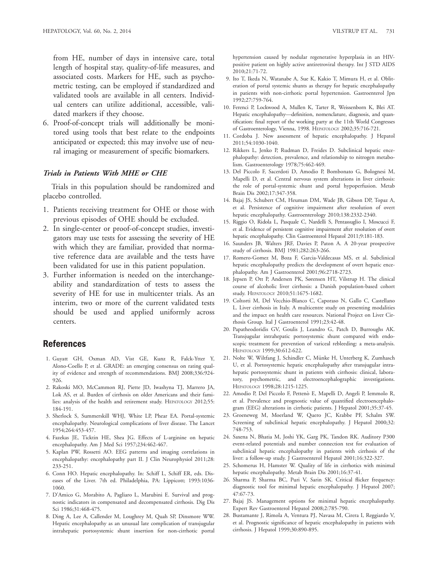from HE, number of days in intensive care, total length of hospital stay, quality-of-life measures, and associated costs. Markers for HE, such as psychometric testing, can be employed if standardized and validated tools are available in all centers. Individual centers can utilize additional, accessible, validated markers if they choose.

6. Proof-of-concept trials will additionally be monitored using tools that best relate to the endpoints anticipated or expected; this may involve use of neural imaging or measurement of specific biomarkers.

## Trials in Patients With MHE or CHE

Trials in this population should be randomized and placebo controlled.

- 1. Patients receiving treatment for OHE or those with previous episodes of OHE should be excluded.
- 2. In single-center or proof-of-concept studies, investigators may use tests for assessing the severity of HE with which they are familiar, provided that normative reference data are available and the tests have been validated for use in this patient population.
- 3. Further information is needed on the interchangeability and standardization of tests to assess the severity of HE for use in multicenter trials. As an interim, two or more of the current validated tests should be used and applied uniformly across centers.

# References

- 1. Guyatt GH, Oxman AD, Vist GE, Kunz R, Falck-Ytter Y, Alono-Coello P, et al. GRADE: an emerging consensus on rating quality of evidence and strength of recommendations. BMJ 2008;336:924- 926.
- 2. Rakoski MO, McCammon RJ, Piette JD, Iwashyna TJ, Marrero JA, Lok AS, et al. Burden of cirrhosis on older Americans and their families: analysis of the health and retirement study. HEPATOLOGY 2012;55: 184-191.
- 3. Sherlock S, Summerskill WHJ, White LP, Phear EA. Portal-systemic encephalopathy. Neurological complications of liver disease. The Lancet 1954;264:453-457.
- 4. Fazekas JE, Ticktin HE, Shea JG. Effects of L-arginine on hepatic encephalopathy. Am J Med Sci 1957;234:462-467.
- 5. Kaplan PW, Rossetti AO. EEG patterns and imaging correlations in encephalopathy: encephalopathy part II. J Clin Neurophysiol 2011;28: 233-251.
- 6. Conn HO. Hepatic encephalopathy. In: Schiff L, Schiff ER, eds. Diseases of the Liver. 7th ed. Philadelphia, PA: Lippicott; 1993:1036- 1060.
- 7. D'Amico G, Morabito A, Pagliaro L, Marubini E. Survival and prognostic indicators in compensated and decompensated cirrhosis. Dig Dis Sci 1986;31:468-475.
- 8. Ding A, Lee A, Callender M, Loughrey M, Quah SP, Dinsmore WW. Hepatic encephalopathy as an unusual late complication of transjugular intrahepatic portosystemic shunt insertion for non-cirrhotic portal

hypertension caused by nodular regenerative hyperplasia in an HIVpositive patient on highly active antiretroviral therapy. Int J STD AIDS 2010;21:71-72.

- 9. Ito T, Ikeda N, Watanabe A, Sue K, Kakio T, Mimura H, et al. Obliteration of portal systemic shunts as therapy for hepatic encephalopathy in patients with non-cirrhotic portal hypertension. Gastroenterol Jpn 1992;27:759-764.
- 10. Ferenci P, Lockwood A, Mullen K, Tarter R, Weissenborn K, Blei AT. Hepatic encephalopathy—definition, nomenclature, diagnosis, and quantification: final report of the working party at the 11th World Congresses of Gastroenterology, Vienna, 1998. HEPATOLOGY 2002;35:716-721.
- 11. Cordoba J. New assessment of hepatic encephalopathy. J Hepatol 2011;54:1030-1040.
- 12. Rikkers L, Jenko P, Rudman D, Freides D. Subclinical hepatic encephalopathy: detection, prevalence, and relationship to nitrogen metabolism. Gastroenterology 1978;75:462-469.
- 13. Del Piccolo F, Sacerdoti D, Amodio P, Bombonato G, Bolognesi M, Mapelli D, et al. Central nervous system alterations in liver cirrhosis: the role of portal-systemic shunt and portal hypoperfusion. Metab Brain Dis 2002;17:347-358.
- 14. Bajaj JS, Schubert CM, Heuman DM, Wade JB, Gibson DP, Topaz A, et al. Persistence of cognitive impairment after resolution of overt hepatic encephalopathy. Gastroenterology 2010;138:2332-2340.
- 15. Riggio O, Ridola L, Pasquale C, Nardelli S, Pentassuglio I, Moscucci F, et al. Evidence of persistent cognitive impairment after resolution of overt hepatic encephalopathy. Clin Gastroenterol Hepatol 2011;9:181-183.
- 16. Saunders JB, Walters JRF, Davies P, Paton A. A 20-year prospective study of cirrhosis. BMJ 1981;282:263-266.
- 17. Romero-Gomez M, Boza F, Garcia-Valdecasas MS, et al. Subclinical hepatic encephalopathy predicts the development of overt hepatic encephalopathy. Am J Gastroenterol 2001;96:2718-2723.
- 18. Jepsen P, Ott P, Andersen PK, Sørensen HT, Vilstrup H. The clinical course of alcoholic liver cirrhosis: a Danish population-based cohort study. HEPATOLOGY 2010;51:1675-1682.
- 19. Coltorti M, Del Vecchio-Blanco C, Caporaso N, Gallo C, Castellano L. Liver cirrhosis in Italy. A multicentre study on presenting modalities and the impact on health care resources. National Project on Liver Cirrhosis Group. Ital J Gastroenterol 1991;23:42-48.
- 20. Papatheodoridis GV, Goulis J, Leandro G, Patch D, Burroughs AK. Transjugular intrahepatic portosystemic shunt compared with endoscopic treatment for prevention of variceal rebleeding: a meta-analysis. HEPATOLOGY 1999;30:612-622.
- 21. Nolte W, Wiltfang J, Schindler C, Münke H, Unterberg K, Zumhasch U, et al. Portosystemic hepatic encephalopathy after transjugular intrahepatic portosystemic shunt in patients with cirrhosis: clinical, laboratory, psychometric, and electroencephalographic investigations. HEPATOLOGY 1998;28:1215-1225.
- 22. Amodio P, Del Piccolo F, Pettenò E, Mapelli D, Angeli P, Iemmolo R, et al. Prevalence and prognostic value of quantified electroencephalogram (EEG) alterations in cirrhotic patients. J Hepatol 2001;35:37-45.
- 23. Groeneweg M, Moerland W, Quero JC, Krabbe PF, Schalm SW. Screening of subclinical hepatic encephalopathy. J Hepatol 2000;32: 748-753.
- 24. Saxena N, Bhatia M, Joshi YK, Garg PK, Tandon RK. Auditory P300 event-related potentials and number connection test for evaluation of subclinical hepatic encephalopathy in patients with cirrhosis of the liver: a follow-up study. J Gastroenterol Hepatol 2001;16:322-327.
- 25. Schomerus H, Hamster W. Quality of life in cirrhotics with minimal hepatic encephalopathy. Metab Brain Dis 2001;16:37-41.
- 26. Sharma P, Sharma BC, Puri V, Sarin SK. Critical flicker frequency: diagnostic tool for minimal hepatic encephalopathy. J Hepatol 2007; 47:67-73.
- 27. Bajaj JS. Management options for minimal hepatic encephalopathy. Expert Rev Gastroenterol Hepatol 2008;2:785-790.
- 28. Bustamante J, Rimola A, Ventura PJ, Navasa M, Cirera I, Reggiardo V, et al. Prognostic significance of hepatic encephalopathy in patients with cirrhosis. J Hepatol 1999;30:890-895.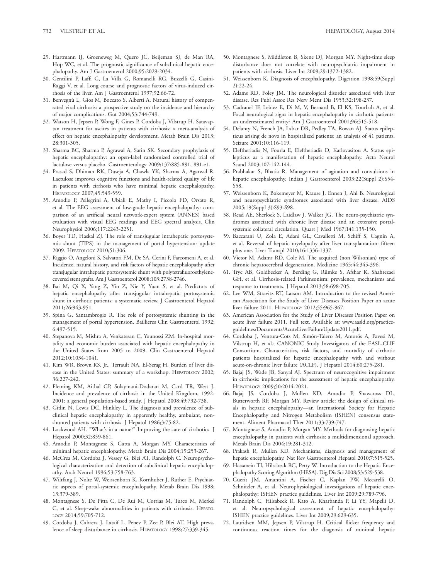- 29. Hartmann IJ, Groeneweg M, Quero JC, Beijeman SJ, de Man RA, Hop WC, et al. The prognostic significance of subclinical hepatic encephalopathy. Am J Gastroenterol 2000;95:2029-2034.
- 30. Gentilini P, Laffi G, La Villa G, Romanelli RG, Buzzelli G, Casini-Raggi V, et al. Long course and prognostic factors of virus-induced cirrhosis of the liver. Am J Gastroenterol 1997;92:66-72.
- 31. Benvegnù L, Gios M, Boccato S, Alberti A. Natural history of compensated viral cirrhosis: a prospective study on the incidence and hierarchy of major complications. Gut 2004;53:744-749.
- 32. Watson H, Jepsen P, Wong F, Gines P, Cordoba J, Vilstrup H. Satavaptan treatment for ascites in patients with cirrhosis: a meta-analysis of effect on hepatic encephalopathy development. Metab Brain Dis 2013; 28:301-305.
- 33. Sharma BC, Sharma P, Agrawal A, Sarin SK. Secondary prophylaxis of hepatic encephalopathy: an open-label randomized controlled trial of lactulose versus placebo. Gastroenterology 2009;137:885-891, 891.e1.
- 34. Prasad S, Dhiman RK, Duseja A, Chawla YK, Sharma A, Agarwal R. Lactulose improves cognitive functions and health-related quality of life in patients with cirrhosis who have minimal hepatic encephalopathy. HEPATOLOGY 2007;45:549-559.
- 35. Amodio P, Pellegrini A, Ubiali E, Mathy I, Piccolo FD, Orsato R, et al. The EEG assessment of low-grade hepatic encephalopathy: comparison of an artificial neural network-expert system (ANNES) based evaluation with visual EEG readings and EEG spectral analysis. Clin Neurophysiol 2006;117:2243-2251.
- 36. Boyer TD, Haskal ZJ. The role of transjugular intrahepatic portosystemic shunt (TIPS) in the management of portal hypertension: update 2009. HEPATOLOGY 2010;51:306.
- 37. Riggio O, Angeloni S, Salvatori FM, De SA, Cerini F, Farcomeni A, et al. Incidence, natural history, and risk factors of hepatic encephalopathy after transjugular intrahepatic portosystemic shunt with polytetrafluoroethylenecovered stent grafts. Am J Gastroenterol 2008;103:2738-2746.
- 38. Bai M, Qi X, Yang Z, Yin Z, Nie Y, Yuan S, et al. Predictors of hepatic encephalopathy after transjugular intrahepatic portosystemic shunt in cirrhotic patients: a systematic review. J Gastroenterol Hepatol 2011;26:943-951.
- 39. Spina G, Santambrogio R. The role of portosystemic shunting in the management of portal hypertension. Baillieres Clin Gastroenterol 1992; 6:497-515.
- 40. Stepanova M, Mishra A, Venkatesan C, Younossi ZM. In-hospital mortality and economic burden associated with hepatic encephalopathy in the United States from 2005 to 2009. Clin Gastroenterol Hepatol 2012;10:1034-1041.
- 41. Kim WR, Brown RS, Jr., Terrault NA, El-Serag H. Burden of liver disease in the United States: summary of a workshop. HEPATOLOGY 2002; 36:227-242.
- 42. Fleming KM, Aithal GP, Solaymani-Dodaran M, Card TR, West J. Incidence and prevalence of cirrhosis in the United Kingdom, 1992- 2001: a general population-based study. J Hepatol 2008;49:732-738.
- 43. Gitlin N, Lewis DC, Hinkley L. The diagnosis and prevalence of subclinical hepatic encephalopathy in apparently healthy, ambulant, nonshunted patients with cirrhosis. J Hepatol 1986;3:75-82.
- 44. Lockwood AH. "What's in a name?" Improving the care of cirrhotics. J Hepatol 2000;32:859-861.
- 45. Amodio P, Montagnese S, Gatta A, Morgan MY. Characteristics of minimal hepatic encephalopathy. Metab Brain Dis 2004;19:253-267.
- 46. McCrea M, Cordoba J, Vessey G, Blei AT, Randolph C. Neuropsychological characterization and detection of subclinical hepatic encephalopathy. Arch Neurol 1996;53:758-763.
- 47. Wiltfang J, Nolte W, Weissenborn K, Kornhuber J, Ruther E. Psychiatric aspects of portal-systemic encephalopathy. Metab Brain Dis 1998; 13:379-389.
- 48. Montagnese S, De Pitta C, De Rui M, Corrias M, Turco M, Merkel C, et al. Sleep-wake abnormalities in patients with cirrhosis. HEPATO-LOGY 2014;59:705-712.
- 49. Cordoba J, Cabrera J, Lataif L, Penev P, Zee P, Blei AT. High prevalence of sleep disturbance in cirrhosis. HEPATOLOGY 1998;27:339-345.
- 50. Montagnese S, Middleton B, Skene DJ, Morgan MY. Night-time sleep disturbance does not correlate with neuropsychiatric impairment in patients with cirrhosis. Liver Int 2009;29:1372-1382.
- 51. Weissenborn K. Diagnosis of encephalopathy. Digestion 1998;59(Suppl 2):22-24.
- 52. Adams RD, Foley JM. The neurological disorder associated with liver disease. Res Publ Assoc Res Nerv Ment Dis 1953;32:198-237.
- 53. Cadranel JF, Lebiez E, Di M, V, Bernard B, El KS, Tourbah A, et al. Focal neurological signs in hepatic encephalopathy in cirrhotic patients: an underestimated entity? Am J Gastroenterol 2001;96:515-518.
- 54. Delanty N, French JA, Labar DR, Pedley TA, Rowan AJ. Status epilepticus arising de novo in hospitalized patients: an analysis of 41 patients. Seizure 2001;10:116-119.
- 55. Eleftheriadis N, Fourla E, Eleftheriadis D, Karlovasitou A. Status epilepticus as a manifestation of hepatic encephalopathy. Acta Neurol Scand 2003;107:142-144.
- 56. Prabhakar S, Bhatia R. Management of agitation and convulsions in hepatic encephalopathy. Indian J Gastroenterol 2003;22(Suppl 2):S54- S58.
- 57. Weissenborn K, Bokemeyer M, Krause J, Ennen J, Ahl B. Neurological and neuropsychiatric syndromes associated with liver disease. AIDS 2005;19(Suppl 3):S93-S98.
- 58. Read AE, Sherlock S, Laidlaw J, Walker JG. The neuro-psychiatric syndromes associated with chronic liver disease and an extensive portalsystemic collateral circulation. Quart J Med 1967;141:135-150.
- 59. Baccarani U, Zola E, Adani GL, Cavalletti M, Schiff S, Cagnin A, et al. Reversal of hepatic myelopathy after liver transplantation: fifteen plus one. Liver Transpl 2010;16:1336-1337.
- 60. Victor M, Adams RD, Cole M. The acquired (non Wilsonian) type of chronic hepatocerebral degeneration. Medicine 1965;44:345-396.
- 61. Tryc AB, Goldbecker A, Berding G, Rümke S, Afshar K, Shahrezaei GH, et al. Cirrhosis-related Parkinsonism: prevalence, mechanisms and response to treatments. J Hepatol 2013;58:698-705.
- 62. Lee WM, Stravitz RT, Larson AM. Introduction to the revised American Association for the Study of Liver Diseases Position Paper on acute liver failure 2011. HEPATOLOGY 2012;55:965-967.
- 63. American Association for the Study of Liver Diseases Position Paper on acute liver failure 2011. Full text. Available at: [www.aasld.org/practice](http://www.aasld.org/practiceguidelines/Documents/AcuteLiverFailureUpdate2011.pdf)[guidelines/Documents/AcuteLiverFailureUpdate2011.pdf](http://www.aasld.org/practiceguidelines/Documents/AcuteLiverFailureUpdate2011.pdf).
- 64. Cordoba J, Ventura-Cots M, Simón-Talero M, Amorós A, Pavesi M, Vilstrup H, et al.; CANONIC Study Investigators of the EASL-CLIF Consortium. Characteristics, risk factors, and mortality of cirrhotic patients hospitalized for hepatic encephalopathy with and without acute-on-chronic liver failure (ACLF). J Hepatol 2014;60:275-281.
- 65. Bajaj JS, Wade JB, Sanyal AJ. Spectrum of neurocognitive impairment in cirrhosis: implications for the assessment of hepatic encephalopathy. HEPATOLOGY 2009;50:2014-2021.
- 66. Bajaj JS, Cordoba J, Mullen KD, Amodio P, Shawcross DL, Butterworth RF, Morgan MY. Review article: the design of clinical trials in hepatic encephalopathy—an International Society for Hepatic Encephalopathy and Nitrogen Metabolism (ISHEN) consensus statement. Aliment Pharmacol Ther 2011;33:739-747.
- 67. Montagnese S, Amodio P, Morgan MY. Methods for diagnosing hepatic encephalopathy in patients with cirrhosis: a multidimensional approach. Metab Brain Dis 2004;19:281-312.
- 68. Prakash R, Mullen KD. Mechanisms, diagnosis and management of hepatic encephalopathy. Nat Rev Gastroenterol Hepatol 2010;7:515-525.
- 69. Hassanein TI, Hilsabeck RC, Perry W. Introduction to the Hepatic Encephalopathy Scoring Algorithm (HESA). Dig Dis Sci 2008;53:529-538.
- 70. Guerit JM, Amantini A, Fischer C, Kaplan PW, Mecarelli O, Schnitzler A, et al. Neurophysiological investigations of hepatic encephalopathy: ISHEN practice guidelines. Liver Int 2009;29:789-796.
- 71. Randolph C, Hilsabeck R, Kato A, Kharbanda P, Li YY, Mapelli D, et al. Neuropsychological assessment of hepatic encephalopathy: ISHEN practice guidelines. Liver Int 2009;29:629-635.
- 72. Lauridsen MM, Jepsen P, Vilstrup H. Critical flicker frequency and continuous reaction times for the diagnosis of minimal hepatic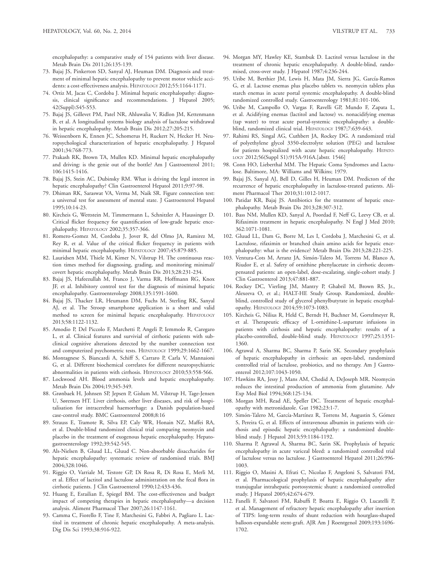encephalopathy: a comparative study of 154 patients with liver disease. Metab Brain Dis 2011;26:135-139.

- 73. Bajaj JS, Pinkerton SD, Sanyal AJ, Heuman DM. Diagnosis and treatment of minimal hepatic encephalopathy to prevent motor vehicle accidents: a cost-effectiveness analysis. HEPATOLOGY 2012;55:1164-1171.
- 74. Ortiz M, Jacas C, Cordoba J. Minimal hepatic encephalopathy: diagnosis, clinical significance and recommendations. J Hepatol 2005; 42(Suppl):S45-S53.
- 75. Bajaj JS, Gillevet PM, Patel NR, Ahluwalia V, Ridlon JM, Kettenmann B, et al. A longitudinal systems biology analysis of lactulose withdrawal in hepatic encephalopathy. Metab Brain Dis 2012;27:205-215.
- 76. Weissenborn K, Ennen JC, Schomerus H, Ruckert N, Hecker H. Neuropsychological characterization of hepatic encephalopathy. J Hepatol 2001;34:768-773.
- 77. Prakash RK, Brown TA, Mullen KD. Minimal hepatic encephalopathy and driving: is the genie out of the bottle? Am J Gastroenterol 2011; 106:1415-1416.
- 78. Bajaj JS, Stein AC, Dubinsky RM. What is driving the legal interest in hepatic encephalopathy? Clin Gastroenterol Hepatol 2011;9:97-98.
- 79. Dhiman RK, Saraswat VA, Verma M, Naik SR. Figure connection test: a universal test for assessment of mental state. J Gastroenterol Hepatol 1995;10:14-23.
- 80. Kircheis G, Wettstein M, Timmermann L, Schnitzler A, Haussinger D. Critical flicker frequency for quantification of low-grade hepatic encephalopathy. HEPATOLOGY 2002;35:357-366.
- 81. Romero-Gomez M, Cordoba J, Jover R, del Olmo JA, Ramirez M, Rey R, et al. Value of the critical flicker frequency in patients with minimal hepatic encephalopathy. HEPATOLOGY 2007;45:879-885.
- 82. Lauridsen MM, Thiele M, Kimer N, Vilstrup H. The continuous reaction times method for diagnosing, grading, and monitoring minimal/ covert hepatic encephalopathy. Metab Brain Dis 2013;28:231-234.
- 83. Bajaj JS, Hafeezullah M, Franco J, Varma RR, Hoffmann RG, Knox JF, et al. Inhibitory control test for the diagnosis of minimal hepatic encephalopathy. Gastroenterology 2008;135:1591-1600.
- 84. Bajaj JS, Thacker LR, Heumann DM, Fuchs M, Sterling RK, Sanyal AJ, et al. The Stroop smartphone application is a short and valid method to screen for minimal hepatic encephalopathy. HEPATOLOGY 2013;58:1122-1132.
- 85. Amodio P, Del Piccolo F, Marchetti P, Angeli P, Iemmolo R, Caregaro L, et al. Clinical features and survivial of cirrhotic patients with subclinical cognitive alterations detected by the number connection test and computerized psychometric tests. HEPATOLOGY 1999;29:1662-1667.
- 86. Montagnese S, Biancardi A, Schiff S, Carraro P, Carla V, Mannaioni G, et al. Different biochemical correlates for different neuropsychiatric abnormalities in patients with cirrhosis. HEPATOLOGY 2010;53:558-566.
- 87. Lockwood AH. Blood ammonia levels and hepatic encephalopathy. Metab Brain Dis 2004;19:345-349.
- 88. Grønbaek H, Johnsen SP, Jepsen P, Gislum M, Vilstrup H, Tage-Jensen U, Sørensen HT. Liver cirrhosis, other liver diseases, and risk of hospitalisation for intracerebral haemorrhage: a Danish population-based case-control study. BMC Gastroenterol 2008;8:16
- 89. Strauss E, Tramote R, Silva EP, Caly WR, Honain NZ, Maffei RA, et al. Double-blind randomized clinical trial comparing neomycin and placebo in the treatment of exogenous hepatic encephalopathy. Hepatogastroenterology 1992;39:542-545.
- 90. Als-Nielsen B, Gluud LL, Gluud C. Non-absorbable disaccharides for hepatic encephalopathy: systematic review of randomised trials. BMJ 2004;328:1046.
- 91. Riggio O, Varriale M, Testore GP, Di Rosa R, Di Rosa E, Merli M, et al. Effect of lactitol and lactulose administration on the fecal flora in cirrhotic patients. J Clin Gastroenterol 1990;12:433-436.
- 92. Huang E, Esrailian E, Spiegel BM. The cost-effectiveness and budget impact of competing therapies in hepatic encephalopathy—a decision analysis. Aliment Pharmacol Ther 2007;26:1147-1161.
- 93. Camma C, Fiorello F, Tine F, Marchesini G, Fabbri A, Pagliaro L. Lactitol in treatment of chronic hepatic encephalopathy. A meta-analysis. Dig Dis Sci 1993;38:916-922.
- 94. Morgan MY, Hawley KE, Stambuk D. Lactitol versus lactulose in the treatment of chronic hepatic encephalopathy. A double-blind, randomised, cross-over study. J Hepatol 1987;4:236-244.
- 95. Uribe M, Berthier JM, Lewis H, Mata JM, Sierra JG, García-Ramos G, et al. Lactose enemas plus placebo tablets vs. neomycin tablets plus starch enemas in acute portal systemic encephalopathy. A double-blind randomized controlled study. Gastroenterology 1981;81:101-106.
- 96. Uribe M, Campollo O, Vargas F, Ravelli GP, Mundo F, Zapata L, et al. Acidifying enemas (lactitol and lactose) vs. nonacidifying enemas (tap water) to treat acute portal-systemic encephalopathy: a doubleblind, randomized clinical trial. HEPATOLOGY 1987;7:639-643.
- 97. Rahimi RS, Singal AG, Cuthbert JA, Rockey DG. A randomized trial of polyethylene glycol 3350-electrolyte solution (PEG) and lactulose for patients hospitalized with acute hepatic encephalopathy. HEPATO-LOGY 2012;56(Suppl S1):915A-916A.[abstr. 1546]
- 98. Conn HO, Lieberthal MM. The Hepatic Coma Syndromes and Lactulose. Baltimore, MA: Williams and Wilkins; 1979.
- 99. Bajaj JS, Sanyal AJ, Bell D, Gilles H, Heuman DM. Predictors of the recurrence of hepatic encephalopathy in lactulose-treated patients. Aliment Pharmacol Ther 2010;31:1012-1017.
- 100. Patidar KR, Bajaj JS. Antibiotics for the treatment of hepatic encephalopathy. Metab Brain Dis 2013;28:307-312.
- 101. Bass NM, Mullen KD, Sanyal A, Poordad F, Neff G, Leevy CB, et al. Rifaximin treatment in hepatic encephalopathy. N Engl J Med 2010; 362:1071-1081.
- 102. Gluud LL, Dam G, Borre M, Les I, Cordoba J, Marchesini G, et al. Lactulose, rifaximin or branched chain amino acids for hepatic encephalopathy: what is the evidence? Metab Brain Dis 2013;28:221-225.
- 103. Ventura-Cots M, Arranz JA, Simón-Talero M, Torrens M, Blanco A, Riudor E, et al. Safety of ornithine phenylacetate in cirrhotic decompensated patients: an open-label, dose-escalating, single-cohort study. J Clin Gastroenterol 2013;47:881-887.
- 104. Rockey DC, Vierling JM, Mantry P, Ghabril M, Brown RS, Jr., Alexeeva O, et al.; HALT-HE Study Group. Randomized, doubleblind, controlled study of glycerol phenylbutyrate in hepatic encephalopathy. HEPATOLOGY 2014;59:1073-1083.
- 105. Kircheis G, Nilius R, Held C, Berndt H, Buchner M, Gortelmeyer R, et al. Therapeutic efficacy of L-ornithine-L-aspartate infusions in patients with cirrhosis and hepatic encephalopathy: results of a placebo-controlled, double-blind study. HEPATOLOGY 1997;25:1351- 1360.
- 106. Agrawal A, Sharma BC, Sharma P, Sarin SK. Secondary prophylaxis of hepatic encephalopathy in cirrhosis: an open-label, randomized controlled trial of lactulose, probiotics, and no therapy. Am J Gastroenterol 2012;107:1043-1050.
- 107. Hawkins RA, Jessy J, Mans AM, Chedid A, DeJoseph MR. Neomycin reduces the intestinal production of ammonia from glutamine. Adv Exp Med Biol 1994;368:125-134.
- 108. Morgan MH, Read AE, Speller DC. Treatment of hepatic encephalopathy with metronidazole. Gut 1982;23:1-7.
- 109. Simón-Talero M, García-Martínez R, Torrens M, Augustin S, Gómez S, Pereira G, et al. Effects of intravenous albumin in patients with cirrhosis and episodic hepatic encephalopathy: a randomized doubleblind study. J Hepatol 2013;59:1184-1192.
- 110. Sharma P, Agrawal A, Sharma BC, Sarin SK. Prophylaxis of hepatic encephalopathy in acute variceal bleed: a randomized controlled trial of lactulose versus no lactulose. J Gastroenterol Hepatol 2011;26:996- 1003.
- 111. Riggio O, Masini A, Efrati C, Nicolao F, Angeloni S, Salvatori FM, et al. Pharmacological prophylaxis of hepatic encephalopathy after transjugular intrahepatic portosystemic shunt: a randomized controlled study. J Hepatol 2005;42:674-679.
- 112. Fanelli F, Salvatori FM, Rabuffi P, Boatta E, Riggio O, Lucatelli P, et al. Management of refractory hepatic encephalopathy after insertion of TIPS: long-term results of shunt reduction with hourglass-shaped balloon-expandable stent-graft. AJR Am J Roentgenol 2009;193:1696- 1702.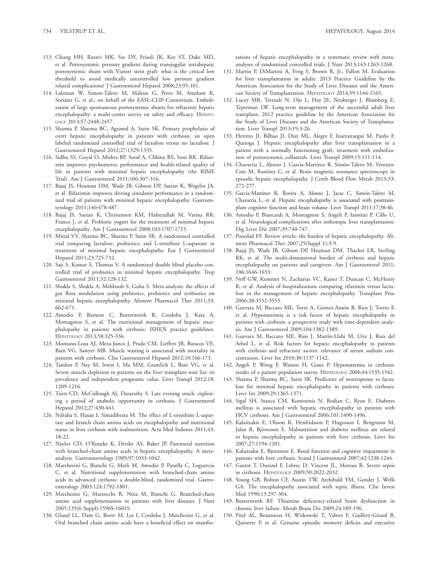- 113. Chung HH, Razavi MK, Sze DY, Frisoli JK, Kee ST, Dake MD, et al. Portosystemic pressure gradient during transjugular intrahepatic portosystemic shunt with Viatorr stent graft: what is the critical low threshold to avoid medically uncontrolled low pressure gradient related complications? J Gastroenterol Hepatol 2008;23:95-101.
- 114. Laleman W, Simon-Talero M, Maleux G, Perez M, Ameloot K, Soriano G, et al.; on behalf of the EASL-CLIF-Consortium. Embolization of large spontaneous portosystemic shunts for refractory hepatic encephalopathy: a multi-center survey on safety and efficacy. HEPATO-LOGY 2013;57:2448-2457.
- 115. Sharma P, Sharma BC, Agrawal A, Sarin SK. Primary prophylaxis of overt hepatic encephalopathy in patients with cirrhosis: an open labeled randomized controlled trial of lactulose versus no lactulose. J Gastroenterol Hepatol 2012;27:1329-1335.
- 116. Sidhu SS, Goyal O, Mishra BP, Sood A, Chhina RS, Soni RK. Rifaximin improves psychometric performance and health-related quality of life in patients with minimal hepatic encephalopathy (the RIME Trial). Am J Gastroenterol 2011;106:307-316.
- 117. Bajaj JS, Heuman DM, Wade JB, Gibson DP, Saeian K, Wegelin JA, et al. Rifaximin improves driving simulator performance in a randomized trial of patients with minimal hepatic encephalopathy. Gastroenterology 2011;140:478-487.
- 118. Bajaj JS, Saeian K, Christensen KM, Hafeezullah M, Varma RR, Franco J, et al. Probiotic yogurt for the treatment of minimal hepatic encephalopathy. Am J Gastroenterol 2008;103:1707-1715.
- 119. Mittal VV, Sharma BC, Sharma P, Sarin SK. A randomized controlled trial comparing lactulose, probiotics, and L-ornithine L-aspartate in treatment of minimal hepatic encephalopathy. Eur J Gastroenterol Hepatol 2011;23:725-732.
- 120. Saji S, Kumar S, Thomas V. A randomized double blind placebo controlled trial of probiotics in minimal hepatic encephalopathy. Trop Gastroenterol 2011;32:128-132.
- 121. Shukla S, Shukla A, Mehboob S, Guha S. Meta-analysis: the effects of gut flora modulation using prebiotics, probiotics and synbiotics on minimal hepatic encephalopathy. Aliment Pharmacol Ther 2011;33: 662-671.
- 122. Amodio P, Bemeur C, Butterworth R, Cordoba J, Kata A, Montagnese S, et al. The nutritional management of hepatic encephalopathy in patients with cirrhosis: ISHEN practice guidelines. HEPATOLOGY 2013;58:325-336.
- 123. Montano-Loza AJ, Meza-Junco J, Prado CM, Lieffers JR, Baracos VE, Bain VG, Sawyer MB. Muscle wasting is associated with mortality in patients with cirrhosis. Clin Gastroenterol Hepatol 2012;10:166-173.
- 124. Tandon P, Ney M, Irwin I, Ma MM, Gramlich L, Bain VG, et al. Severe muscle depletion in patients on the liver transplant wait list: its prevalence and independent prognostic value. Liver Transpl 2012;18: 1209-1216.
- 125. Tsien CD, McCullough AJ, Dasarathy S. Late evening snack: exploiting a period of anabolic opportunity in cirrhosis. J Gastroenterol Hepatol 2012;27:430-441.
- 126. Ndraha S, Hasan I, Simadibrata M. The effect of L-ornithine L-aspartate and branch chain amino acids on encephalopathy and nutritional status in liver cirrhosis with malnutrition. Acta Med Indones 2011;43: 18-22.
- 127. Naylor CD, O'Rourke K, Detsky AS, Baker JP. Parenteral nutrition with branched-chain amino acids in hepatic encephalopathy. A metaanalysis. Gastroenterology 1989;97:1033-1042.
- 128. Marchesini G, Bianchi G, Merli M, Amodio P, Panella C, Loguercio C, et al. Nutritional supplementation with branched-chain amino acids in advanced cirrhosis: a double-blind, randomized trial. Gastroenterology 2003;124:1792-1801.
- 129. Marchesini G, Marzocchi R, Noia M, Bianchi G. Branched-chain amino acid supplementation in patients with liver diseases. J Nutr 2005;135(6 Suppl):1596S-1601S.
- 130. Gluud LL, Dam G, Borre M, Les I, Cordoba J, Marchesini G, et al. Oral branched chain amino acids have a beneficial effect on manifes-

tations of hepatic encephalopathy in a systematic review with metaanalyses of randomized controlled trials. J Nutr 2013;143:1263-1268.

- 131. Martin P, DiMartini A, Feng S, Brown R, Jr., Fallon M. Evaluation for liver transplantation in adults: 2013 Practice Guideline by the American Association for the Study of Liver Diseases and the American Society of Transplantation. HEPATOLOGY 2014;59:1144-1165.
- 132. Lucey MR, Terrault N, Ojo L, Hay JE, Neuberger J, Blumberg E, Teperman LW. Long-term management of the successful adult liver transplant: 2012 practice guideline by the American Association for the Study of Liver Diseases and the American Society of Transplantation. Liver Transpl 2013;19:3-26.
- 133. Herrero JI, Bilbao JI, Diaz ML, Alegre F, Inarrairaegui M, Pardo F, Quiroga J. Hepatic encephalopathy after liver transplantation in a patient with a normally functioning graft: treatment with embolization of portosystemic collaterals. Liver Transpl 2009;15:111-114.
- 134. Chavarria L, Alonso J, García-Martínez R, Simón-Talero M, Ventura-Cots M, Ramírez C, et al. Brain magnetic resonance spectroscopy in episodic hepatic encephalopathy. J Cereb Blood Flow Metab 2013;33: 272-277.
- 135. Garcia-Martinez R, Rovira A, Alonso J, Jacas C, Simon-Talero M, Chavarria L, et al. Hepatic encephalopathy is associated with posttransplant cognitive function and brain volume. Liver Transpl 2011;17:38-46.
- 136. Amodio P, Biancardi A, Montagnese S, Angeli P, Iannizzi P, Cillo U, et al. Neurological complications after orthotopic liver transplantation. Dig Liver Dis 2007;39:740-747.
- 137. Poordad FF. Review article: the burden of hepatic encephalopathy. Aliment Pharmacol Ther 2007;25(Suppl 1):3-9.
- 138. Bajaj JS, Wade JB, Gibson DP, Heuman DM, Thacker LR, Sterling RK, et al. The multi-dimensional burden of cirrhosis and hepatic encephalopathy on patients and caregivers. Am J Gastroenterol 2011; 106:1646-1653.
- 139. Neff GW, Kemmer N, Zacharias VC, Kaiser T, Duncan C, McHenry R, et al. Analysis of hospitalizations comparing rifaximin versus lactulose in the management of hepatic encephalopathy. Transplant Proc 2006;38:3552-3555.
- 140. Guevara M, Baccaro ME, Torre A, Gómez-Ansón B, Ríos J, Torres F, et al. Hyponatremia is a risk factor of hepatic encephalopathy in patients with cirrhosis: a prospective study with time-dependent analysis. Am J Gastroenterol 2009;104:1382-1389.
- 141. Guevara M, Baccaro ME, Ríos J, Martín-Llahí M, Uriz J, Ruiz del Arbol L, et al. Risk factors for hepatic encephalopathy in patients with cirrhosis and refractory ascites: relevance of serum sodium concentration. Liver Int 2010;30:1137-1142.
- 142. Angeli P, Wong F, Watson H, Gines P. Hyponatremia in cirrhosis: results of a patient population survey. HEPATOLOGY 2006;44:1535-1542.
- 143. Sharma P, Sharma BC, Sarin SK. Predictors of nonresponse to lactulose for minimal hepatic encephalopathy in patients with cirrhosis. Liver Int 2009;29:1365-1371.
- 144. Sigal SH, Stanca CM, Kontorinis N, Bodian C, Ryan E. Diabetes mellitus is associated with hepatic encephalopathy in patients with HCV cirrhosis. Am J Gastroenterol 2006;101:1490-1496.
- 145. Kalaitzakis E, Olsson R, Henfridsson P, Hugosson I, Bengtsson M, Jalan R, Björnsson E. Malnutrition and diabetes mellitus are related to hepatic encephalopathy in patients with liver cirrhosis. Liver Int 2007;27:1194-1201.
- 146. Kalaitzakis E, Bjornsson E. Renal function and cognitive impairment in patients with liver cirrhosis. Scand J Gastroenterol 2007;42:1238-1244.
- 147. Gustot T, Durand F, Lebrec D, Vincent JL, Moreau R. Severe sepsis in cirrhosis. HEPATOLOGY 2009;50:2022-2032.
- 148. Young GB, Bolton CF, Austin TW, Archibald YM, Gonder J, Wells GA. The encephalopathy associated with septic illness. Clin Invest Med 1990;13:297-304.
- 149. Butterworth RF. Thiamine deficiency-related brain dysfunction in chronic liver failure. Metab Brain Dis 2009;24:189-196.
- 150. Pitel AL, Beaunieux H, Witkowski T, Vabret F, Guillery-Girard B, Quinette P, et al. Genuine episodic memory deficits and executive